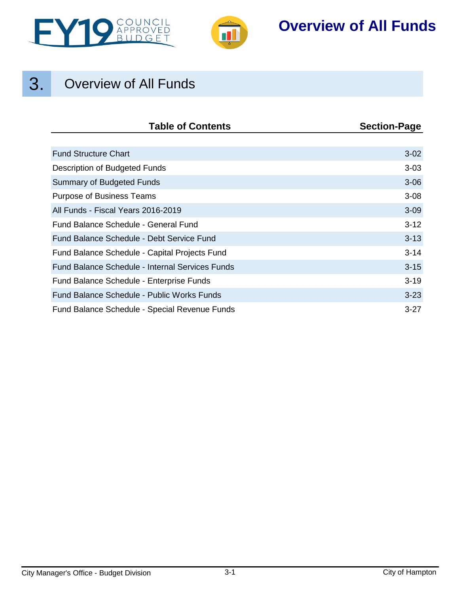



## **Overview of All Funds**

# 3. Overview of All Funds

| <b>Table of Contents</b>                               | <b>Section-Page</b> |
|--------------------------------------------------------|---------------------|
|                                                        |                     |
| <b>Fund Structure Chart</b>                            | $3-02$              |
| Description of Budgeted Funds                          | $3 - 03$            |
| <b>Summary of Budgeted Funds</b>                       | $3 - 06$            |
| <b>Purpose of Business Teams</b>                       | $3 - 08$            |
| All Funds - Fiscal Years 2016-2019                     | $3 - 09$            |
| Fund Balance Schedule - General Fund                   | $3 - 12$            |
| Fund Balance Schedule - Debt Service Fund              | $3 - 13$            |
| Fund Balance Schedule - Capital Projects Fund          | $3 - 14$            |
| <b>Fund Balance Schedule - Internal Services Funds</b> | $3 - 15$            |
| Fund Balance Schedule - Enterprise Funds               | $3 - 19$            |
| <b>Fund Balance Schedule - Public Works Funds</b>      | $3 - 23$            |
| Fund Balance Schedule - Special Revenue Funds          | $3-27$              |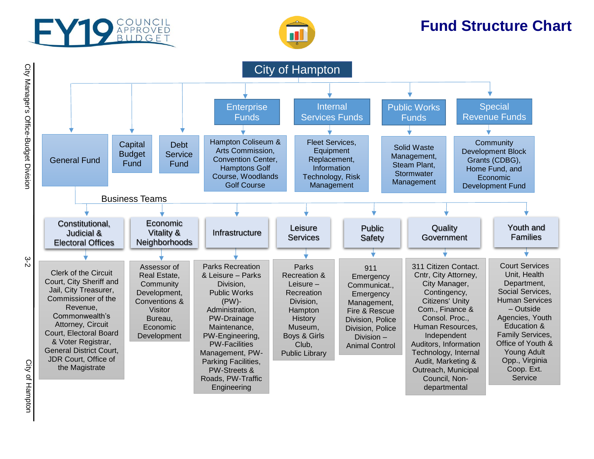<span id="page-1-0"></span>



## **Fund Structure Chart**



City Manager's Office-Budget Division City Manager's Office-Budget Division 3-2

ب<br>دا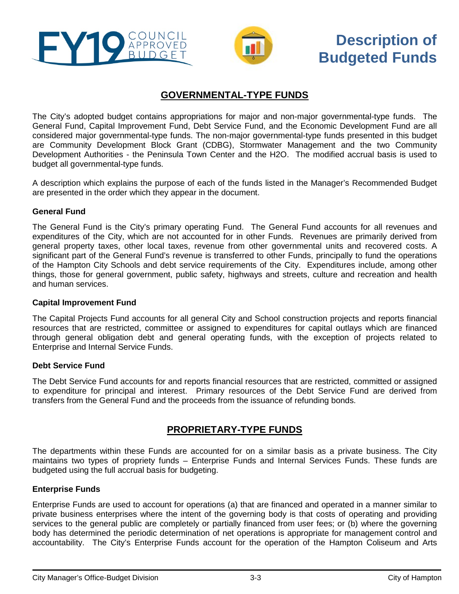<span id="page-2-0"></span>



## **Description of Budgeted Funds**

### **GOVERNMENTAL-TYPE FUNDS**

The City's adopted budget contains appropriations for major and non-major governmental-type funds. The General Fund, Capital Improvement Fund, Debt Service Fund, and the Economic Development Fund are all considered major governmental-type funds. The non-major governmental-type funds presented in this budget are Community Development Block Grant (CDBG), Stormwater Management and the two Community Development Authorities - the Peninsula Town Center and the H2O. The modified accrual basis is used to budget all governmental-type funds.

A description which explains the purpose of each of the funds listed in the Manager's Recommended Budget are presented in the order which they appear in the document.

### **General Fund**

The General Fund is the City's primary operating Fund. The General Fund accounts for all revenues and expenditures of the City, which are not accounted for in other Funds. Revenues are primarily derived from general property taxes, other local taxes, revenue from other governmental units and recovered costs. A significant part of the General Fund's revenue is transferred to other Funds, principally to fund the operations of the Hampton City Schools and debt service requirements of the City. Expenditures include, among other things, those for general government, public safety, highways and streets, culture and recreation and health and human services.

### **Capital Improvement Fund**

The Capital Projects Fund accounts for all general City and School construction projects and reports financial resources that are restricted, committee or assigned to expenditures for capital outlays which are financed through general obligation debt and general operating funds, with the exception of projects related to Enterprise and Internal Service Funds.

### **Debt Service Fund**

The Debt Service Fund accounts for and reports financial resources that are restricted, committed or assigned to expenditure for principal and interest. Primary resources of the Debt Service Fund are derived from transfers from the General Fund and the proceeds from the issuance of refunding bonds.

### **PROPRIETARY-TYPE FUNDS**

The departments within these Funds are accounted for on a similar basis as a private business. The City maintains two types of propriety funds – Enterprise Funds and Internal Services Funds. These funds are budgeted using the full accrual basis for budgeting.

### **Enterprise Funds**

Enterprise Funds are used to account for operations (a) that are financed and operated in a manner similar to private business enterprises where the intent of the governing body is that costs of operating and providing services to the general public are completely or partially financed from user fees; or (b) where the governing body has determined the periodic determination of net operations is appropriate for management control and accountability. The City's Enterprise Funds account for the operation of the Hampton Coliseum and Arts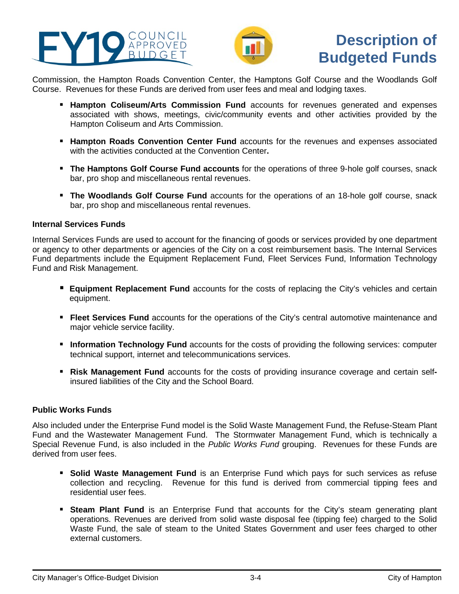



## **Description of Budgeted Funds**

Commission, the Hampton Roads Convention Center, the Hamptons Golf Course and the Woodlands Golf Course. Revenues for these Funds are derived from user fees and meal and lodging taxes.

- **Hampton Coliseum/Arts Commission Fund** accounts for revenues generated and expenses associated with shows, meetings, civic/community events and other activities provided by the Hampton Coliseum and Arts Commission.
- **Hampton Roads Convention Center Fund** accounts for the revenues and expenses associated with the activities conducted at the Convention Center**.**
- **The Hamptons Golf Course Fund accounts** for the operations of three 9-hole golf courses, snack bar, pro shop and miscellaneous rental revenues.
- **The Woodlands Golf Course Fund** accounts for the operations of an 18-hole golf course, snack bar, pro shop and miscellaneous rental revenues.

### **Internal Services Funds**

Internal Services Funds are used to account for the financing of goods or services provided by one department or agency to other departments or agencies of the City on a cost reimbursement basis. The Internal Services Fund departments include the Equipment Replacement Fund, Fleet Services Fund, Information Technology Fund and Risk Management.

- **Equipment Replacement Fund** accounts for the costs of replacing the City's vehicles and certain equipment.
- **Fleet Services Fund** accounts for the operations of the City's central automotive maintenance and major vehicle service facility.
- **Information Technology Fund** accounts for the costs of providing the following services: computer technical support, internet and telecommunications services.
- **Risk Management Fund** accounts for the costs of providing insurance coverage and certain selfinsured liabilities of the City and the School Board.

### **Public Works Funds**

Also included under the Enterprise Fund model is the Solid Waste Management Fund, the Refuse-Steam Plant Fund and the Wastewater Management Fund. The Stormwater Management Fund, which is technically a Special Revenue Fund, is also included in the *Public Works Fund* grouping. Revenues for these Funds are derived from user fees.

- **Solid Waste Management Fund** is an Enterprise Fund which pays for such services as refuse collection and recycling. Revenue for this fund is derived from commercial tipping fees and residential user fees.
- **Steam Plant Fund** is an Enterprise Fund that accounts for the City's steam generating plant operations. Revenues are derived from solid waste disposal fee (tipping fee) charged to the Solid Waste Fund, the sale of steam to the United States Government and user fees charged to other external customers.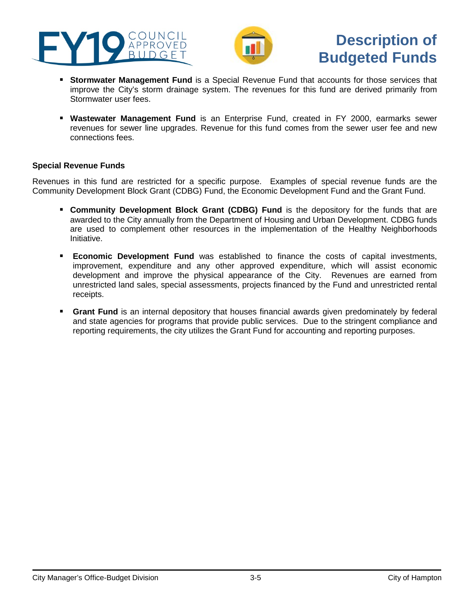



## **Description of Budgeted Funds**

- **Stormwater Management Fund** is a Special Revenue Fund that accounts for those services that improve the City's storm drainage system. The revenues for this fund are derived primarily from Stormwater user fees.
- **Wastewater Management Fund** is an Enterprise Fund, created in FY 2000, earmarks sewer revenues for sewer line upgrades. Revenue for this fund comes from the sewer user fee and new connections fees.

#### **Special Revenue Funds**

Revenues in this fund are restricted for a specific purpose. Examples of special revenue funds are the Community Development Block Grant (CDBG) Fund, the Economic Development Fund and the Grant Fund.

- **Community Development Block Grant (CDBG) Fund** is the depository for the funds that are awarded to the City annually from the Department of Housing and Urban Development. CDBG funds are used to complement other resources in the implementation of the Healthy Neighborhoods Initiative.
- **Economic Development Fund** was established to finance the costs of capital investments, improvement, expenditure and any other approved expenditure, which will assist economic development and improve the physical appearance of the City. Revenues are earned from unrestricted land sales, special assessments, projects financed by the Fund and unrestricted rental receipts.
- **Grant Fund** is an internal depository that houses financial awards given predominately by federal and state agencies for programs that provide public services. Due to the stringent compliance and reporting requirements, the city utilizes the Grant Fund for accounting and reporting purposes.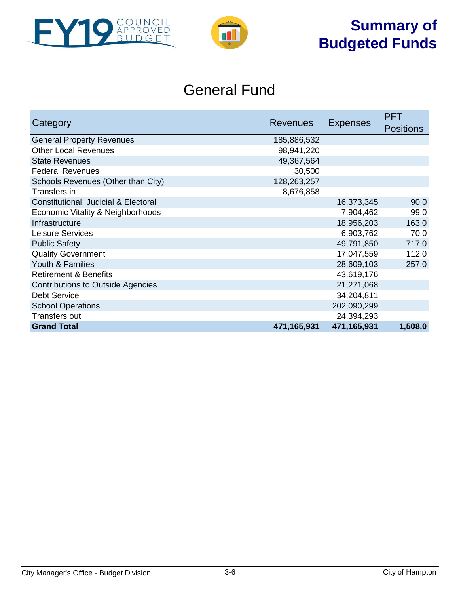<span id="page-5-0"></span>



# **Summary of Budgeted Funds**

## General Fund

|                                          |             |                 | <b>PFT</b>       |
|------------------------------------------|-------------|-----------------|------------------|
| <b>Revenues</b><br>Category              |             | <b>Expenses</b> | <b>Positions</b> |
| <b>General Property Revenues</b>         | 185,886,532 |                 |                  |
| <b>Other Local Revenues</b>              | 98,941,220  |                 |                  |
| <b>State Revenues</b>                    | 49,367,564  |                 |                  |
| <b>Federal Revenues</b>                  | 30,500      |                 |                  |
| Schools Revenues (Other than City)       | 128,263,257 |                 |                  |
| Transfers in                             | 8,676,858   |                 |                  |
| Constitutional, Judicial & Electoral     |             | 16,373,345      | 90.0             |
| Economic Vitality & Neighborhoods        |             | 7,904,462       | 99.0             |
| Infrastructure                           |             | 18,956,203      | 163.0            |
| Leisure Services                         |             | 6,903,762       | 70.0             |
| <b>Public Safety</b>                     |             | 49,791,850      | 717.0            |
| <b>Quality Government</b>                |             | 17,047,559      | 112.0            |
| Youth & Families                         |             | 28,609,103      | 257.0            |
| <b>Retirement &amp; Benefits</b>         |             | 43,619,176      |                  |
| <b>Contributions to Outside Agencies</b> |             | 21,271,068      |                  |
| <b>Debt Service</b>                      |             | 34,204,811      |                  |
| <b>School Operations</b>                 |             | 202,090,299     |                  |
| <b>Transfers out</b>                     |             | 24,394,293      |                  |
| <b>Grand Total</b>                       | 471,165,931 | 471,165,931     | 1,508.0          |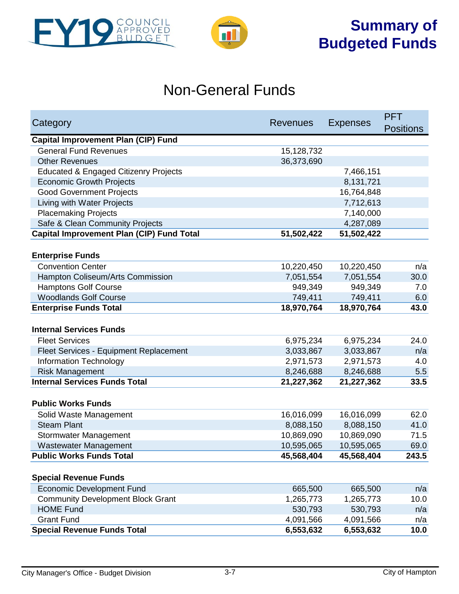



## Non-General Funds

| Category                                         | <b>Revenues</b> | <b>Expenses</b> | <b>PFT</b>       |
|--------------------------------------------------|-----------------|-----------------|------------------|
|                                                  |                 |                 | <b>Positions</b> |
| <b>Capital Improvement Plan (CIP) Fund</b>       |                 |                 |                  |
| <b>General Fund Revenues</b>                     | 15,128,732      |                 |                  |
| <b>Other Revenues</b>                            | 36,373,690      |                 |                  |
| <b>Educated &amp; Engaged Citizenry Projects</b> |                 | 7,466,151       |                  |
| <b>Economic Growth Projects</b>                  |                 | 8,131,721       |                  |
| <b>Good Government Projects</b>                  |                 | 16,764,848      |                  |
| Living with Water Projects                       |                 | 7,712,613       |                  |
| <b>Placemaking Projects</b>                      |                 | 7,140,000       |                  |
| Safe & Clean Community Projects                  |                 | 4,287,089       |                  |
| <b>Capital Improvement Plan (CIP) Fund Total</b> | 51,502,422      | 51,502,422      |                  |
|                                                  |                 |                 |                  |
| <b>Enterprise Funds</b>                          |                 |                 |                  |
| <b>Convention Center</b>                         | 10,220,450      | 10,220,450      | n/a              |
| Hampton Coliseum/Arts Commission                 | 7,051,554       | 7,051,554       | 30.0             |
| <b>Hamptons Golf Course</b>                      | 949,349         | 949,349         | 7.0              |
| <b>Woodlands Golf Course</b>                     | 749,411         | 749,411         | 6.0              |
| <b>Enterprise Funds Total</b>                    | 18,970,764      | 18,970,764      | 43.0             |
|                                                  |                 |                 |                  |
| <b>Internal Services Funds</b>                   |                 |                 |                  |
| <b>Fleet Services</b>                            | 6,975,234       | 6,975,234       | 24.0             |
| Fleet Services - Equipment Replacement           | 3,033,867       | 3,033,867       | n/a              |
| <b>Information Technology</b>                    | 2,971,573       | 2,971,573       | 4.0              |
| <b>Risk Management</b>                           | 8,246,688       | 8,246,688       | 5.5              |
| <b>Internal Services Funds Total</b>             | 21,227,362      | 21,227,362      | 33.5             |
|                                                  |                 |                 |                  |
| <b>Public Works Funds</b>                        |                 |                 |                  |
| Solid Waste Management                           | 16,016,099      | 16,016,099      | 62.0             |
| <b>Steam Plant</b>                               | 8,088,150       | 8,088,150       | 41.0             |
| <b>Stormwater Management</b>                     | 10,869,090      | 10,869,090      | 71.5             |
| <b>Wastewater Management</b>                     | 10,595,065      | 10,595,065      | 69.0             |
| <b>Public Works Funds Total</b>                  | 45,568,404      | 45,568,404      | 243.5            |
|                                                  |                 |                 |                  |
| <b>Special Revenue Funds</b>                     |                 |                 |                  |
| <b>Economic Development Fund</b>                 | 665,500         | 665,500         | n/a              |
| <b>Community Development Block Grant</b>         | 1,265,773       | 1,265,773       | 10.0             |
| <b>HOME Fund</b>                                 | 530,793         | 530,793         | n/a              |
| <b>Grant Fund</b>                                | 4,091,566       | 4,091,566       | n/a              |
| <b>Special Revenue Funds Total</b>               | 6,553,632       | 6,553,632       | 10.0             |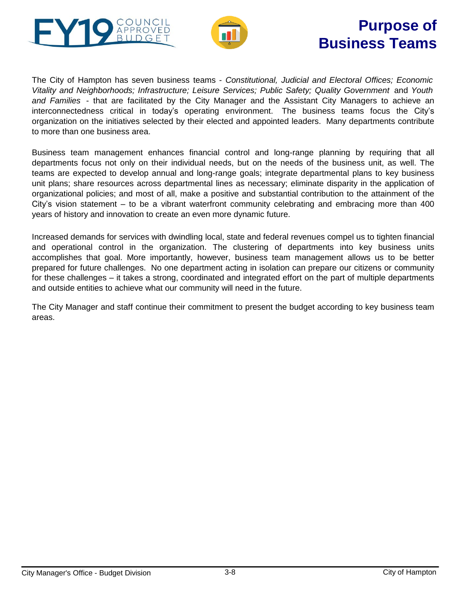<span id="page-7-0"></span>



## **Purpose of Business Teams**

The City of Hampton has seven business teams - *Constitutional, Judicial and Electoral Offices; Economic Vitality and Neighborhoods; Infrastructure; Leisure Services; Public Safety; Quality Government* and *Youth and Families* - that are facilitated by the City Manager and the Assistant City Managers to achieve an interconnectedness critical in today's operating environment. The business teams focus the City's organization on the initiatives selected by their elected and appointed leaders. Many departments contribute to more than one business area.

Business team management enhances financial control and long-range planning by requiring that all departments focus not only on their individual needs, but on the needs of the business unit, as well. The teams are expected to develop annual and long-range goals; integrate departmental plans to key business unit plans; share resources across departmental lines as necessary; eliminate disparity in the application of organizational policies; and most of all, make a positive and substantial contribution to the attainment of the City's vision statement – to be a vibrant waterfront community celebrating and embracing more than 400 years of history and innovation to create an even more dynamic future.

Increased demands for services with dwindling local, state and federal revenues compel us to tighten financial and operational control in the organization. The clustering of departments into key business units accomplishes that goal. More importantly, however, business team management allows us to be better prepared for future challenges. No one department acting in isolation can prepare our citizens or community for these challenges – it takes a strong, coordinated and integrated effort on the part of multiple departments and outside entities to achieve what our community will need in the future.

The City Manager and staff continue their commitment to present the budget according to key business team areas.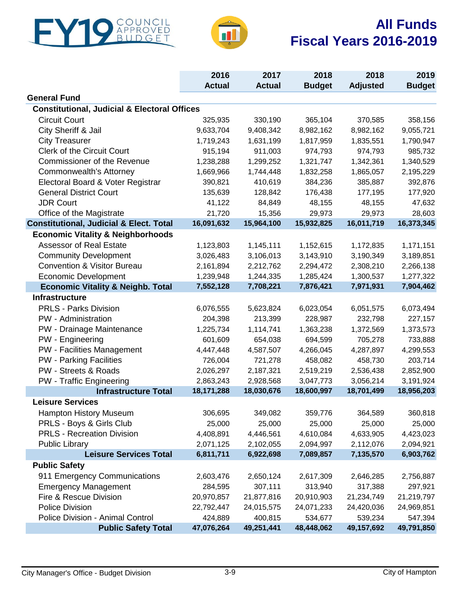<span id="page-8-0"></span>



## **All Funds Fiscal Years 2016-2019**

|                                                         | 2016          | 2017          | 2018          | 2018            | 2019          |
|---------------------------------------------------------|---------------|---------------|---------------|-----------------|---------------|
|                                                         | <b>Actual</b> | <b>Actual</b> | <b>Budget</b> | <b>Adjusted</b> | <b>Budget</b> |
| <b>General Fund</b>                                     |               |               |               |                 |               |
| <b>Constitutional, Judicial &amp; Electoral Offices</b> |               |               |               |                 |               |
| <b>Circuit Court</b>                                    | 325,935       | 330,190       | 365,104       | 370,585         | 358,156       |
| City Sheriff & Jail                                     | 9,633,704     | 9,408,342     | 8,982,162     | 8,982,162       | 9,055,721     |
| <b>City Treasurer</b>                                   | 1,719,243     | 1,631,199     | 1,817,959     | 1,835,551       | 1,790,947     |
| <b>Clerk of the Circuit Court</b>                       | 915,194       | 911,003       | 974,793       | 974,793         | 985,732       |
| <b>Commissioner of the Revenue</b>                      | 1,238,288     | 1,299,252     | 1,321,747     | 1,342,361       | 1,340,529     |
| <b>Commonwealth's Attorney</b>                          | 1,669,966     | 1,744,448     | 1,832,258     | 1,865,057       | 2,195,229     |
| Electoral Board & Voter Registrar                       | 390,821       | 410,619       | 384,236       | 385,887         | 392,876       |
| <b>General District Court</b>                           | 135,639       | 128,842       | 176,438       | 177,195         | 177,920       |
| <b>JDR Court</b>                                        | 41,122        | 84,849        | 48,155        | 48,155          | 47,632        |
| Office of the Magistrate                                | 21,720        | 15,356        | 29,973        | 29,973          | 28,603        |
| <b>Constitutional, Judicial &amp; Elect. Total</b>      | 16,091,632    | 15,964,100    | 15,932,825    | 16,011,719      | 16,373,345    |
| <b>Economic Vitality &amp; Neighborhoods</b>            |               |               |               |                 |               |
| <b>Assessor of Real Estate</b>                          | 1,123,803     | 1,145,111     | 1,152,615     | 1,172,835       | 1,171,151     |
| <b>Community Development</b>                            | 3,026,483     | 3,106,013     | 3,143,910     | 3,190,349       | 3,189,851     |
| <b>Convention &amp; Visitor Bureau</b>                  | 2,161,894     | 2,212,762     | 2,294,472     | 2,308,210       | 2,266,138     |
| <b>Economic Development</b>                             | 1,239,948     | 1,244,335     | 1,285,424     | 1,300,537       | 1,277,322     |
| <b>Economic Vitality &amp; Neighb. Total</b>            | 7,552,128     | 7,708,221     | 7,876,421     | 7,971,931       | 7,904,462     |
| <b>Infrastructure</b>                                   |               |               |               |                 |               |
| <b>PRLS - Parks Division</b>                            | 6,076,555     | 5,623,824     | 6,023,054     | 6,051,575       | 6,073,494     |
| <b>PW</b> - Administration                              | 204,398       | 213,399       | 228,987       | 232,798         | 227,157       |
| <b>PW</b> - Drainage Maintenance                        | 1,225,734     | 1,114,741     | 1,363,238     | 1,372,569       | 1,373,573     |
| PW - Engineering                                        | 601,609       | 654,038       | 694,599       | 705,278         | 733,888       |
| <b>PW</b> - Facilities Management                       | 4,447,448     | 4,587,507     | 4,266,045     | 4,287,897       | 4,299,553     |
| <b>PW</b> - Parking Facilities                          | 726,004       | 721,278       | 458,082       | 458,730         | 203,714       |
| PW - Streets & Roads                                    | 2,026,297     | 2,187,321     | 2,519,219     | 2,536,438       | 2,852,900     |
| <b>PW</b> - Traffic Engineering                         | 2,863,243     | 2,928,568     | 3,047,773     | 3,056,214       | 3,191,924     |
| <b>Infrastructure Total</b>                             | 18,171,288    | 18,030,676    | 18,600,997    | 18,701,499      | 18,956,203    |
| <b>Leisure Services</b>                                 |               |               |               |                 |               |
| <b>Hampton History Museum</b>                           | 306,695       | 349,082       | 359,776       | 364,589         | 360,818       |
| PRLS - Boys & Girls Club                                | 25,000        | 25,000        | 25,000        | 25,000          | 25,000        |
| <b>PRLS - Recreation Division</b>                       | 4,408,891     | 4,446,561     | 4,610,084     | 4,633,905       | 4,423,023     |
| <b>Public Library</b>                                   | 2,071,125     | 2,102,055     | 2,094,997     | 2,112,076       | 2,094,921     |
| <b>Leisure Services Total</b>                           | 6,811,711     | 6,922,698     | 7,089,857     | 7,135,570       | 6,903,762     |
| <b>Public Safety</b>                                    |               |               |               |                 |               |
| 911 Emergency Communications                            | 2,603,476     | 2,650,124     | 2,617,309     | 2,646,285       | 2,756,887     |
| <b>Emergency Management</b>                             | 284,595       | 307,111       | 313,940       | 317,388         | 297,921       |
| Fire & Rescue Division                                  | 20,970,857    | 21,877,816    | 20,910,903    | 21,234,749      | 21,219,797    |
| <b>Police Division</b>                                  | 22,792,447    | 24,015,575    | 24,071,233    | 24,420,036      | 24,969,851    |
| <b>Police Division - Animal Control</b>                 | 424,889       | 400,815       | 534,677       | 539,234         | 547,394       |
| <b>Public Safety Total</b>                              | 47,076,264    | 49,251,441    | 48,448,062    | 49,157,692      | 49,791,850    |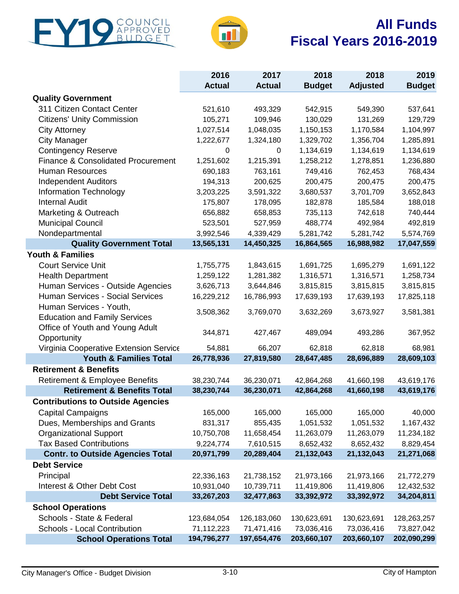



## **All Funds Fiscal Years 2016-2019**

|                                               | 2016          | 2017          | 2018          | 2018            | 2019          |
|-----------------------------------------------|---------------|---------------|---------------|-----------------|---------------|
|                                               | <b>Actual</b> | <b>Actual</b> | <b>Budget</b> | <b>Adjusted</b> | <b>Budget</b> |
| <b>Quality Government</b>                     |               |               |               |                 |               |
| 311 Citizen Contact Center                    | 521,610       | 493,329       | 542,915       | 549,390         | 537,641       |
| <b>Citizens' Unity Commission</b>             | 105,271       | 109,946       | 130,029       | 131,269         | 129,729       |
| <b>City Attorney</b>                          | 1,027,514     | 1,048,035     | 1,150,153     | 1,170,584       | 1,104,997     |
| <b>City Manager</b>                           | 1,222,677     | 1,324,180     | 1,329,702     | 1,356,704       | 1,285,891     |
| <b>Contingency Reserve</b>                    | $\pmb{0}$     | $\mathbf 0$   | 1,134,619     | 1,134,619       | 1,134,619     |
| <b>Finance &amp; Consolidated Procurement</b> | 1,251,602     | 1,215,391     | 1,258,212     | 1,278,851       | 1,236,880     |
| <b>Human Resources</b>                        | 690,183       | 763,161       | 749,416       | 762,453         | 768,434       |
| <b>Independent Auditors</b>                   | 194,313       | 200,625       | 200,475       | 200,475         | 200,475       |
| <b>Information Technology</b>                 | 3,203,225     | 3,591,322     | 3,680,537     | 3,701,709       | 3,652,843     |
| <b>Internal Audit</b>                         | 175,807       | 178,095       | 182,878       | 185,584         | 188,018       |
| Marketing & Outreach                          | 656,882       | 658,853       | 735,113       | 742,618         | 740,444       |
| <b>Municipal Council</b>                      | 523,501       | 527,959       | 488,774       | 492,984         | 492,819       |
| Nondepartmental                               | 3,992,546     | 4,339,429     | 5,281,742     | 5,281,742       | 5,574,769     |
| <b>Quality Government Total</b>               | 13,565,131    | 14,450,325    | 16,864,565    | 16,988,982      | 17,047,559    |
| <b>Youth &amp; Families</b>                   |               |               |               |                 |               |
| <b>Court Service Unit</b>                     | 1,755,775     | 1,843,615     | 1,691,725     | 1,695,279       | 1,691,122     |
| <b>Health Department</b>                      | 1,259,122     | 1,281,382     | 1,316,571     | 1,316,571       | 1,258,734     |
| Human Services - Outside Agencies             | 3,626,713     | 3,644,846     | 3,815,815     | 3,815,815       | 3,815,815     |
| Human Services - Social Services              | 16,229,212    | 16,786,993    | 17,639,193    | 17,639,193      | 17,825,118    |
| Human Services - Youth,                       | 3,508,362     |               |               |                 |               |
| <b>Education and Family Services</b>          |               | 3,769,070     | 3,632,269     | 3,673,927       | 3,581,381     |
| Office of Youth and Young Adult               |               |               |               |                 |               |
| Opportunity                                   | 344,871       | 427,467       | 489,094       | 493,286         | 367,952       |
| Virginia Cooperative Extension Service        | 54,881        | 66,207        | 62,818        | 62,818          | 68,981        |
| <b>Youth &amp; Families Total</b>             | 26,778,936    | 27,819,580    | 28,647,485    | 28,696,889      | 28,609,103    |
| <b>Retirement &amp; Benefits</b>              |               |               |               |                 |               |
| <b>Retirement &amp; Employee Benefits</b>     | 38,230,744    | 36,230,071    | 42,864,268    | 41,660,198      | 43,619,176    |
| <b>Retirement &amp; Benefits Total</b>        | 38,230,744    | 36,230,071    | 42,864,268    | 41,660,198      | 43,619,176    |
| <b>Contributions to Outside Agencies</b>      |               |               |               |                 |               |
| <b>Capital Campaigns</b>                      | 165,000       | 165,000       | 165,000       | 165,000         | 40,000        |
| Dues, Memberships and Grants                  | 831,317       | 855,435       | 1,051,532     | 1,051,532       | 1,167,432     |
| <b>Organizational Support</b>                 | 10,750,708    | 11,658,454    | 11,263,079    | 11,263,079      | 11,234,182    |
| <b>Tax Based Contributions</b>                | 9,224,774     | 7,610,515     | 8,652,432     | 8,652,432       | 8,829,454     |
| <b>Contr. to Outside Agencies Total</b>       | 20,971,799    | 20,289,404    | 21,132,043    | 21,132,043      | 21,271,068    |
| <b>Debt Service</b>                           |               |               |               |                 |               |
| Principal                                     | 22,336,163    | 21,738,152    | 21,973,166    | 21,973,166      | 21,772,279    |
| Interest & Other Debt Cost                    | 10,931,040    | 10,739,711    | 11,419,806    | 11,419,806      | 12,432,532    |
| <b>Debt Service Total</b>                     | 33,267,203    | 32,477,863    | 33,392,972    | 33,392,972      | 34,204,811    |
| <b>School Operations</b>                      |               |               |               |                 |               |
| Schools - State & Federal                     | 123,684,054   | 126,183,060   | 130,623,691   | 130,623,691     | 128,263,257   |
| Schools - Local Contribution                  | 71,112,223    | 71,471,416    | 73,036,416    | 73,036,416      | 73,827,042    |
| <b>School Operations Total</b>                | 194,796,277   | 197,654,476   | 203,660,107   | 203,660,107     | 202,090,299   |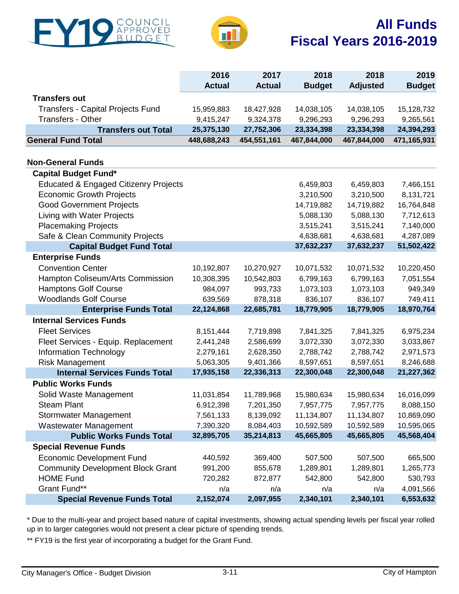



### **All Funds Fiscal Years 2016-2019**

| <b>Budget</b><br><b>Budget</b><br><b>Actual</b><br><b>Actual</b><br><b>Adjusted</b><br><b>Transfers out</b><br><b>Transfers - Capital Projects Fund</b><br>15,959,883<br>18,427,928<br>14,038,105<br>14,038,105<br>15,128,732 | 9,265,561 |
|-------------------------------------------------------------------------------------------------------------------------------------------------------------------------------------------------------------------------------|-----------|
|                                                                                                                                                                                                                               |           |
|                                                                                                                                                                                                                               |           |
|                                                                                                                                                                                                                               |           |
| Transfers - Other<br>9,415,247<br>9,324,378<br>9,296,293<br>9,296,293                                                                                                                                                         |           |
| 25,375,130<br>27,752,306<br>24,394,293<br>23,334,398<br>23,334,398<br><b>Transfers out Total</b>                                                                                                                              |           |
| <b>General Fund Total</b><br>448,688,243<br>454,551,161<br>467,844,000<br>467,844,000<br>471,165,931                                                                                                                          |           |
|                                                                                                                                                                                                                               |           |
| <b>Non-General Funds</b>                                                                                                                                                                                                      |           |
| <b>Capital Budget Fund*</b>                                                                                                                                                                                                   |           |
| <b>Educated &amp; Engaged Citizenry Projects</b><br>6,459,803<br>6,459,803<br>7,466,151                                                                                                                                       |           |
| <b>Economic Growth Projects</b><br>3,210,500<br>3,210,500<br>8,131,721                                                                                                                                                        |           |
| <b>Good Government Projects</b><br>14,719,882<br>16,764,848<br>14,719,882                                                                                                                                                     |           |
| Living with Water Projects<br>5,088,130<br>5,088,130<br>7,712,613                                                                                                                                                             |           |
| <b>Placemaking Projects</b><br>3,515,241<br>3,515,241<br>7,140,000                                                                                                                                                            |           |
| Safe & Clean Community Projects<br>4,287,089<br>4,638,681<br>4,638,681                                                                                                                                                        |           |
| 51,502,422<br><b>Capital Budget Fund Total</b><br>37,632,237<br>37,632,237                                                                                                                                                    |           |
| <b>Enterprise Funds</b>                                                                                                                                                                                                       |           |
| <b>Convention Center</b><br>10,192,807<br>10,270,927<br>10,071,532<br>10,071,532<br>10,220,450                                                                                                                                |           |
| Hampton Coliseum/Arts Commission<br>10,308,395<br>10,542,803<br>6,799,163<br>6,799,163<br>7,051,554                                                                                                                           |           |
| <b>Hamptons Golf Course</b><br>984,097<br>993,733<br>1,073,103<br>1,073,103                                                                                                                                                   | 949,349   |
| <b>Woodlands Golf Course</b><br>836,107<br>639,569<br>878,318<br>836,107<br>749,411                                                                                                                                           |           |
| 18,779,905<br>18,779,905<br>18,970,764<br><b>Enterprise Funds Total</b><br>22,124,868<br>22,685,781                                                                                                                           |           |
| <b>Internal Services Funds</b>                                                                                                                                                                                                |           |
| <b>Fleet Services</b><br>7,719,898<br>8,151,444<br>7,841,325<br>7,841,325<br>6,975,234                                                                                                                                        |           |
| Fleet Services - Equip. Replacement<br>2,441,248<br>2,586,699<br>3,072,330<br>3,072,330<br>3,033,867                                                                                                                          |           |
| <b>Information Technology</b><br>2,628,350<br>2,788,742<br>2,971,573<br>2,279,161<br>2,788,742                                                                                                                                |           |
| 8,246,688<br><b>Risk Management</b><br>5,063,305<br>9,401,366<br>8,597,651<br>8,597,651                                                                                                                                       |           |
| 22,300,048<br>22,300,048<br>21,227,362<br><b>Internal Services Funds Total</b><br>17,935,158<br>22,336,313                                                                                                                    |           |
| <b>Public Works Funds</b>                                                                                                                                                                                                     |           |
| Solid Waste Management<br>11,031,854<br>11,789,968<br>15,980,634<br>15,980,634<br>16,016,099                                                                                                                                  |           |
| <b>Steam Plant</b><br>6,912,398<br>7,201,350<br>7,957,775<br>7,957,775<br>8,088,150                                                                                                                                           |           |
| <b>Stormwater Management</b><br>7,561,133<br>8,139,092<br>11,134,807<br>11,134,807<br>10,869,090                                                                                                                              |           |
| Wastewater Management<br>7,390,320<br>8,084,403<br>10,592,589<br>10,595,065<br>10,592,589<br><b>Public Works Funds Total</b><br>32,895,705<br>35,214,813<br>45,665,805<br>45,665,805<br>45,568,404                            |           |
|                                                                                                                                                                                                                               |           |
| <b>Special Revenue Funds</b>                                                                                                                                                                                                  |           |
| <b>Economic Development Fund</b><br>369,400<br>507,500<br>507,500<br>440,592                                                                                                                                                  | 665,500   |
| <b>Community Development Block Grant</b><br>991,200<br>855,678<br>1,289,801<br>1,289,801<br>1,265,773<br><b>HOME Fund</b><br>872,877                                                                                          |           |
| 720,282<br>542,800<br>542,800<br>Grant Fund**<br>n/a<br>4,091,566<br>n/a<br>n/a<br>n/a                                                                                                                                        | 530,793   |
| 2,152,074<br>2,340,101<br>2,340,101<br><b>Special Revenue Funds Total</b><br>2,097,955<br>6,553,632                                                                                                                           |           |

\* Due to the multi-year and project based nature of capital investments, showing actual spending levels per fiscal year rolled up in to larger categories would not present a clear picture of spending trends.

\*\* FY19 is the first year of incorporating a budget for the Grant Fund.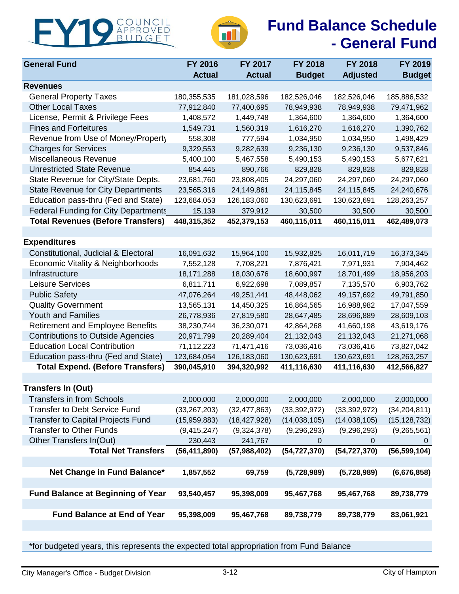<span id="page-11-0"></span>



## **Fund Balance Schedule - General Fund**

| <b>General Fund</b>                         | FY 2016        | FY 2017        | FY 2018        | FY 2018         | FY 2019        |
|---------------------------------------------|----------------|----------------|----------------|-----------------|----------------|
|                                             | <b>Actual</b>  | <b>Actual</b>  | <b>Budget</b>  | <b>Adjusted</b> | <b>Budget</b>  |
| <b>Revenues</b>                             |                |                |                |                 |                |
| <b>General Property Taxes</b>               | 180,355,535    | 181,028,596    | 182,526,046    | 182,526,046     | 185,886,532    |
| <b>Other Local Taxes</b>                    | 77,912,840     | 77,400,695     | 78,949,938     | 78,949,938      | 79,471,962     |
| License, Permit & Privilege Fees            | 1,408,572      | 1,449,748      | 1,364,600      | 1,364,600       | 1,364,600      |
| <b>Fines and Forfeitures</b>                | 1,549,731      | 1,560,319      | 1,616,270      | 1,616,270       | 1,390,762      |
| Revenue from Use of Money/Property          | 558,308        | 777,594        | 1,034,950      | 1,034,950       | 1,498,429      |
| <b>Charges for Services</b>                 | 9,329,553      | 9,282,639      | 9,236,130      | 9,236,130       | 9,537,846      |
| Miscellaneous Revenue                       | 5,400,100      | 5,467,558      | 5,490,153      | 5,490,153       | 5,677,621      |
| <b>Unrestricted State Revenue</b>           | 854,445        | 890,766        | 829,828        | 829,828         | 829,828        |
| State Revenue for City/State Depts.         | 23,681,760     | 23,808,405     | 24,297,060     | 24,297,060      | 24,297,060     |
| <b>State Revenue for City Departments</b>   | 23,565,316     | 24,149,861     | 24,115,845     | 24,115,845      | 24,240,676     |
| Education pass-thru (Fed and State)         | 123,684,053    | 126,183,060    | 130,623,691    | 130,623,691     | 128,263,257    |
| <b>Federal Funding for City Departments</b> | 15,139         | 379,912        | 30,500         | 30,500          | 30,500         |
| <b>Total Revenues (Before Transfers)</b>    | 448,315,352    | 452,379,153    | 460,115,011    | 460,115,011     | 462,489,073    |
|                                             |                |                |                |                 |                |
| <b>Expenditures</b>                         |                |                |                |                 |                |
| Constitutional, Judicial & Electoral        | 16,091,632     | 15,964,100     | 15,932,825     | 16,011,719      | 16,373,345     |
| Economic Vitality & Neighborhoods           | 7,552,128      | 7,708,221      | 7,876,421      | 7,971,931       | 7,904,462      |
| Infrastructure                              | 18,171,288     | 18,030,676     | 18,600,997     | 18,701,499      | 18,956,203     |
| Leisure Services                            | 6,811,711      | 6,922,698      | 7,089,857      | 7,135,570       | 6,903,762      |
| <b>Public Safety</b>                        | 47,076,264     | 49,251,441     | 48,448,062     | 49, 157, 692    | 49,791,850     |
| <b>Quality Government</b>                   | 13,565,131     | 14,450,325     | 16,864,565     | 16,988,982      | 17,047,559     |
| <b>Youth and Families</b>                   | 26,778,936     | 27,819,580     | 28,647,485     | 28,696,889      | 28,609,103     |
| <b>Retirement and Employee Benefits</b>     | 38,230,744     | 36,230,071     | 42,864,268     | 41,660,198      | 43,619,176     |
| <b>Contributions to Outside Agencies</b>    | 20,971,799     | 20,289,404     | 21,132,043     | 21,132,043      | 21,271,068     |
| <b>Education Local Contribution</b>         | 71,112,223     | 71,471,416     | 73,036,416     | 73,036,416      | 73,827,042     |
| Education pass-thru (Fed and State)         | 123,684,054    | 126, 183, 060  | 130,623,691    | 130,623,691     | 128,263,257    |
| <b>Total Expend. (Before Transfers)</b>     | 390,045,910    | 394,320,992    | 411,116,630    | 411,116,630     | 412,566,827    |
|                                             |                |                |                |                 |                |
| Transfers In (Out)                          |                |                |                |                 |                |
| <b>Transfers in from Schools</b>            | 2,000,000      | 2,000,000      | 2,000,000      | 2,000,000       | 2,000,000      |
| <b>Transfer to Debt Service Fund</b>        | (33, 267, 203) | (32, 477, 863) | (33, 392, 972) | (33, 392, 972)  | (34, 204, 811) |
| <b>Transfer to Capital Projects Fund</b>    | (15,959,883)   | (18, 427, 928) | (14,038,105)   | (14,038,105)    | (15, 128, 732) |
| <b>Transfer to Other Funds</b>              | (9, 415, 247)  | (9,324,378)    | (9, 296, 293)  | (9, 296, 293)   | (9,265,561)    |
| Other Transfers In(Out)                     | 230,443        | 241,767        | 0              | $\mathbf 0$     | $\sigma$       |
| <b>Total Net Transfers</b>                  | (56, 411, 890) | (57,988,402)   | (54, 727, 370) | (54, 727, 370)  | (56, 599, 104) |
|                                             |                |                |                |                 |                |
| Net Change in Fund Balance*                 | 1,857,552      | 69,759         | (5,728,989)    | (5,728,989)     | (6,676,858)    |
|                                             |                |                |                |                 |                |
| <b>Fund Balance at Beginning of Year</b>    | 93,540,457     | 95,398,009     | 95,467,768     | 95,467,768      | 89,738,779     |
|                                             |                |                |                |                 |                |
| <b>Fund Balance at End of Year</b>          | 95,398,009     | 95,467,768     | 89,738,779     | 89,738,779      | 83,061,921     |
|                                             |                |                |                |                 |                |

\*for budgeted years, this represents the expected total appropriation from Fund Balance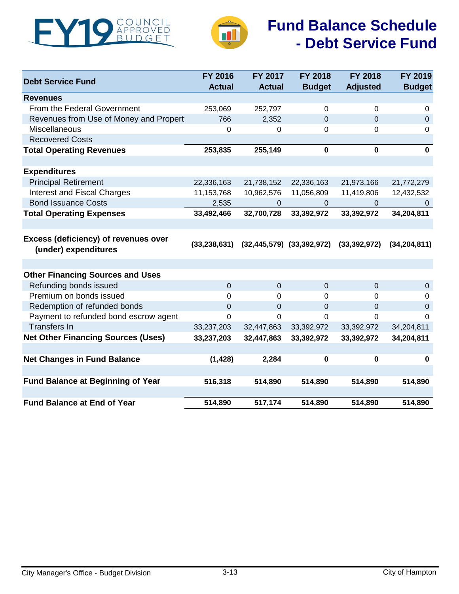<span id="page-12-0"></span>



## **Fund Balance Schedule - Debt Service Fund**

| <b>Debt Service Fund</b>                                            | FY 2016<br><b>Actual</b> | FY 2017<br><b>Actual</b> | <b>FY 2018</b><br><b>Budget</b>   | <b>FY 2018</b><br><b>Adjusted</b> | FY 2019<br><b>Budget</b> |
|---------------------------------------------------------------------|--------------------------|--------------------------|-----------------------------------|-----------------------------------|--------------------------|
| <b>Revenues</b>                                                     |                          |                          |                                   |                                   |                          |
| From the Federal Government                                         | 253,069                  | 252,797                  | $\mathbf 0$                       | $\mathbf 0$                       | 0                        |
| Revenues from Use of Money and Propert                              | 766                      | 2,352                    | $\overline{0}$                    | $\mathbf 0$                       | $\mathbf 0$              |
| Miscellaneous                                                       | 0                        | 0                        | $\mathbf 0$                       | 0                                 | $\boldsymbol{0}$         |
| <b>Recovered Costs</b>                                              |                          |                          |                                   |                                   |                          |
| <b>Total Operating Revenues</b>                                     | 253,835                  | 255,149                  | $\mathbf 0$                       | 0                                 | $\mathbf 0$              |
|                                                                     |                          |                          |                                   |                                   |                          |
| <b>Expenditures</b>                                                 |                          |                          |                                   |                                   |                          |
| <b>Principal Retirement</b>                                         | 22,336,163               | 21,738,152               | 22,336,163                        | 21,973,166                        | 21,772,279               |
| <b>Interest and Fiscal Charges</b>                                  | 11,153,768               | 10,962,576               | 11,056,809                        | 11,419,806                        | 12,432,532               |
| <b>Bond Issuance Costs</b>                                          | 2,535                    | 0                        | 0                                 | 0                                 | $\mathbf{0}$             |
| <b>Total Operating Expenses</b>                                     | 33,492,466               | 32,700,728               | 33,392,972                        | 33,392,972                        | 34,204,811               |
|                                                                     |                          |                          |                                   |                                   |                          |
| <b>Excess (deficiency) of revenues over</b><br>(under) expenditures | (33, 238, 631)           |                          | $(32, 445, 579)$ $(33, 392, 972)$ | (33, 392, 972)                    | (34, 204, 811)           |
|                                                                     |                          |                          |                                   |                                   |                          |
| <b>Other Financing Sources and Uses</b>                             |                          |                          |                                   |                                   |                          |
| Refunding bonds issued                                              | 0                        | $\mathbf 0$              | $\mathbf 0$                       | $\boldsymbol{0}$                  | $\boldsymbol{0}$         |
| Premium on bonds issued                                             | 0                        | $\mathbf 0$              | $\overline{0}$                    | 0                                 | 0                        |
| Redemption of refunded bonds                                        | 0                        | $\Omega$                 | $\Omega$                          | 0                                 | $\mathbf 0$              |
| Payment to refunded bond escrow agent                               | $\mathbf 0$              | $\mathbf 0$              | $\mathbf 0$                       | 0                                 | $\overline{0}$           |
| <b>Transfers In</b>                                                 | 33,237,203               | 32,447,863               | 33,392,972                        | 33,392,972                        | 34,204,811               |
| <b>Net Other Financing Sources (Uses)</b>                           | 33,237,203               | 32,447,863               | 33,392,972                        | 33,392,972                        | 34,204,811               |
|                                                                     |                          |                          |                                   |                                   |                          |
| <b>Net Changes in Fund Balance</b>                                  | (1, 428)                 | 2,284                    | 0                                 | $\mathbf 0$                       | $\mathbf 0$              |
|                                                                     |                          |                          |                                   |                                   |                          |
| <b>Fund Balance at Beginning of Year</b>                            | 516,318                  | 514,890                  | 514,890                           | 514,890                           | 514,890                  |
|                                                                     |                          |                          |                                   |                                   |                          |
| <b>Fund Balance at End of Year</b>                                  | 514,890                  | 517,174                  | 514,890                           | 514,890                           | 514,890                  |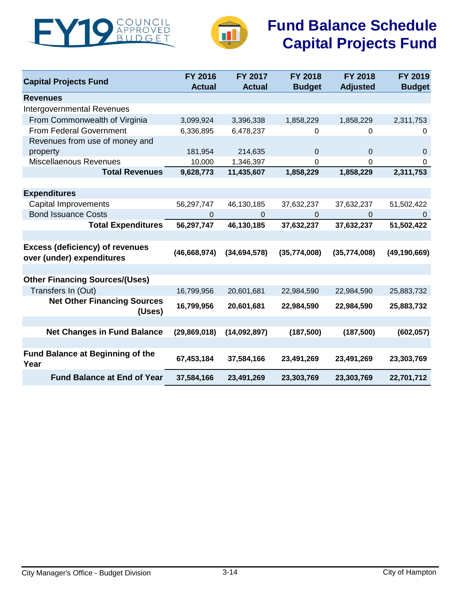<span id="page-13-0"></span>



# **Fund Balance Schedule Capital Projects Fund**

| <b>Capital Projects Fund</b>                                        | FY 2016<br><b>Actual</b> | FY 2017<br><b>Actual</b> | <b>FY 2018</b><br><b>Budget</b> | FY 2018<br><b>Adjusted</b> | FY 2019<br><b>Budget</b> |
|---------------------------------------------------------------------|--------------------------|--------------------------|---------------------------------|----------------------------|--------------------------|
| <b>Revenues</b>                                                     |                          |                          |                                 |                            |                          |
| <b>Intergovernmental Revenues</b>                                   |                          |                          |                                 |                            |                          |
| From Commonwealth of Virginia                                       | 3,099,924                | 3,396,338                | 1,858,229                       | 1,858,229                  | 2,311,753                |
| From Federal Government                                             | 6,336,895                | 6,478,237                | 0                               | $\mathbf 0$                | $\Omega$                 |
| Revenues from use of money and                                      |                          |                          |                                 |                            |                          |
| property                                                            | 181,954                  | 214,635                  | $\mathbf 0$                     | $\mathbf 0$                | $\mathbf 0$              |
| Miscellaenous Revenues                                              | 10,000                   | 1,346,397                | $\mathbf 0$                     | 0                          | 0                        |
| <b>Total Revenues</b>                                               | 9,628,773                | 11,435,607               | 1,858,229                       | 1,858,229                  | 2,311,753                |
|                                                                     |                          |                          |                                 |                            |                          |
| <b>Expenditures</b>                                                 |                          |                          |                                 |                            |                          |
| <b>Capital Improvements</b>                                         | 56,297,747               | 46,130,185               | 37,632,237                      | 37,632,237                 | 51,502,422               |
| <b>Bond Issuance Costs</b>                                          | $\mathbf 0$              | $\Omega$                 | $\Omega$                        | $\mathbf 0$                | $\mathbf{0}$             |
| <b>Total Expenditures</b>                                           | 56,297,747               | 46,130,185               | 37,632,237                      | 37,632,237                 | 51,502,422               |
| <b>Excess (deficiency) of revenues</b><br>over (under) expenditures | (46, 668, 974)           | (34, 694, 578)           | (35,774,008)                    | (35,774,008)               | (49, 190, 669)           |
| <b>Other Financing Sources/(Uses)</b>                               |                          |                          |                                 |                            |                          |
| Transfers In (Out)                                                  | 16,799,956               | 20,601,681               | 22,984,590                      | 22,984,590                 | 25,883,732               |
| <b>Net Other Financing Sources</b><br>(Uses)                        | 16,799,956               | 20,601,681               | 22,984,590                      | 22,984,590                 | 25,883,732               |
|                                                                     |                          |                          |                                 |                            |                          |
| <b>Net Changes in Fund Balance</b>                                  | (29,869,018)             | (14,092,897)             | (187, 500)                      | (187, 500)                 | (602, 057)               |
| <b>Fund Balance at Beginning of the</b>                             | 67,453,184               | 37,584,166               | 23,491,269                      | 23,491,269                 | 23,303,769               |
| Year                                                                |                          |                          |                                 |                            |                          |
| <b>Fund Balance at End of Year</b>                                  | 37,584,166               | 23,491,269               | 23,303,769                      | 23,303,769                 | 22,701,712               |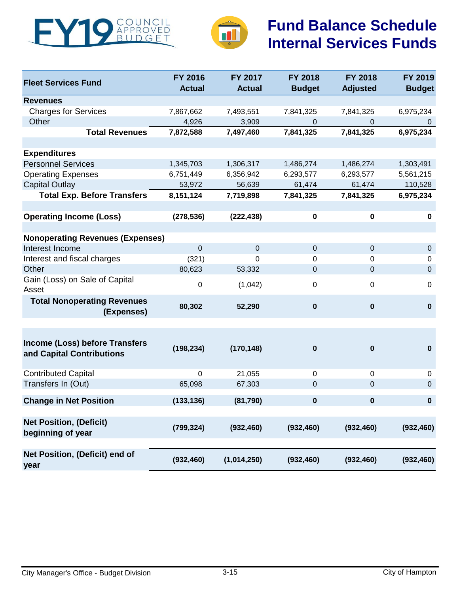<span id="page-14-0"></span>



| <b>Fleet Services Fund</b>                                  | <b>FY 2016</b><br><b>Actual</b> | FY 2017<br><b>Actual</b> | FY 2018<br><b>Budget</b> | FY 2018<br><b>Adjusted</b> | FY 2019<br><b>Budget</b> |
|-------------------------------------------------------------|---------------------------------|--------------------------|--------------------------|----------------------------|--------------------------|
| <b>Revenues</b>                                             |                                 |                          |                          |                            |                          |
| <b>Charges for Services</b>                                 | 7,867,662                       | 7,493,551                | 7,841,325                | 7,841,325                  | 6,975,234                |
| Other                                                       | 4,926                           | 3,909                    | $\Omega$                 | 0                          | $\theta$                 |
| <b>Total Revenues</b>                                       | 7,872,588                       | 7,497,460                | 7,841,325                | 7,841,325                  | 6,975,234                |
|                                                             |                                 |                          |                          |                            |                          |
| <b>Expenditures</b>                                         |                                 |                          |                          |                            |                          |
| <b>Personnel Services</b>                                   | 1,345,703                       | 1,306,317                | 1,486,274                | 1,486,274                  | 1,303,491                |
| <b>Operating Expenses</b>                                   | 6,751,449                       | 6,356,942                | 6,293,577                | 6,293,577                  | 5,561,215                |
| <b>Capital Outlay</b>                                       | 53,972                          | 56,639                   | 61,474                   | 61,474                     | 110,528                  |
| <b>Total Exp. Before Transfers</b>                          | 8,151,124                       | 7,719,898                | 7,841,325                | 7,841,325                  | 6,975,234                |
|                                                             |                                 |                          |                          |                            |                          |
| <b>Operating Income (Loss)</b>                              | (278, 536)                      | (222, 438)               | $\pmb{0}$                | $\pmb{0}$                  | $\pmb{0}$                |
|                                                             |                                 |                          |                          |                            |                          |
| <b>Nonoperating Revenues (Expenses)</b>                     |                                 |                          |                          |                            |                          |
| Interest Income                                             | 0                               | $\mathbf 0$              | $\mathbf 0$              | $\mathbf 0$                | $\mathbf 0$              |
| Interest and fiscal charges                                 | (321)                           | $\mathbf 0$              | 0                        | $\mathbf 0$                | $\mathbf 0$              |
| Other                                                       | 80,623                          | 53,332                   | $\mathbf 0$              | $\pmb{0}$                  | $\mathbf 0$              |
| Gain (Loss) on Sale of Capital<br>Asset                     | 0                               | (1,042)                  | $\pmb{0}$                | 0                          | $\boldsymbol{0}$         |
| <b>Total Nonoperating Revenues</b><br>(Expenses)            | 80,302                          | 52,290                   | $\pmb{0}$                | $\mathbf 0$                | $\bf{0}$                 |
|                                                             |                                 |                          |                          |                            |                          |
| Income (Loss) before Transfers<br>and Capital Contributions | (198, 234)                      | (170, 148)               | $\pmb{0}$                | $\pmb{0}$                  | $\pmb{0}$                |
| <b>Contributed Capital</b>                                  | 0                               | 21,055                   | 0                        | 0                          | 0                        |
| Transfers In (Out)                                          | 65,098                          | 67,303                   | $\pmb{0}$                | $\pmb{0}$                  | $\mathbf 0$              |
| <b>Change in Net Position</b>                               | (133, 136)                      | (81, 790)                | $\pmb{0}$                | $\pmb{0}$                  | $\pmb{0}$                |
| <b>Net Position, (Deficit)</b><br>beginning of year         | (799, 324)                      | (932, 460)               | (932, 460)               | (932, 460)                 | (932, 460)               |
| Net Position, (Deficit) end of<br>year                      | (932, 460)                      | (1,014,250)              | (932, 460)               | (932, 460)                 | (932, 460)               |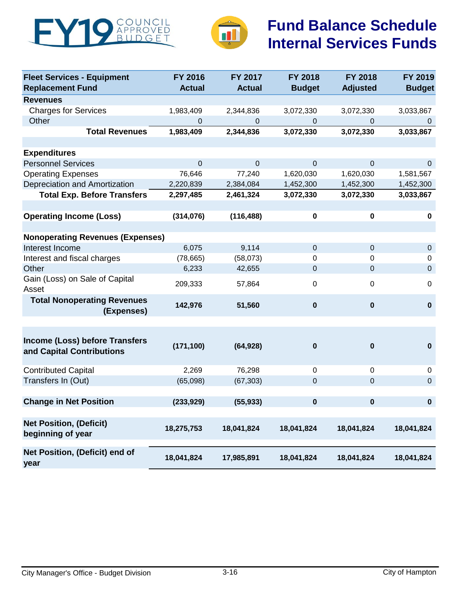



| <b>Fleet Services - Equipment</b><br><b>Replacement Fund</b> | FY 2016<br><b>Actual</b> | FY 2017<br><b>Actual</b> | FY 2018<br><b>Budget</b> | <b>FY 2018</b><br><b>Adjusted</b> | FY 2019<br><b>Budget</b> |
|--------------------------------------------------------------|--------------------------|--------------------------|--------------------------|-----------------------------------|--------------------------|
| <b>Revenues</b>                                              |                          |                          |                          |                                   |                          |
| <b>Charges for Services</b>                                  | 1,983,409                | 2,344,836                | 3,072,330                | 3,072,330                         | 3,033,867                |
| Other                                                        | 0                        | 0                        | 0                        | 0                                 | 0                        |
| <b>Total Revenues</b>                                        | 1,983,409                | 2,344,836                | 3,072,330                | 3,072,330                         | 3,033,867                |
|                                                              |                          |                          |                          |                                   |                          |
| <b>Expenditures</b>                                          |                          |                          |                          |                                   |                          |
| <b>Personnel Services</b>                                    | $\pmb{0}$                | $\mathbf 0$              | $\mathbf 0$              | $\mathbf 0$                       | $\mathbf 0$              |
| <b>Operating Expenses</b>                                    | 76,646                   | 77,240                   | 1,620,030                | 1,620,030                         | 1,581,567                |
| Depreciation and Amortization                                | 2,220,839                | 2,384,084                | 1,452,300                | 1,452,300                         | 1,452,300                |
| <b>Total Exp. Before Transfers</b>                           | 2,297,485                | 2,461,324                | 3,072,330                | 3,072,330                         | 3,033,867                |
|                                                              |                          |                          |                          |                                   |                          |
| <b>Operating Income (Loss)</b>                               | (314, 076)               | (116, 488)               | $\pmb{0}$                | 0                                 | $\pmb{0}$                |
|                                                              |                          |                          |                          |                                   |                          |
| <b>Nonoperating Revenues (Expenses)</b>                      |                          |                          |                          |                                   |                          |
| Interest Income                                              | 6,075                    | 9,114                    | $\pmb{0}$                | 0                                 | $\mathbf 0$              |
| Interest and fiscal charges                                  | (78, 665)                | (58,073)                 | 0                        | 0                                 | 0                        |
| Other                                                        | 6,233                    | 42,655                   | $\boldsymbol{0}$         | $\pmb{0}$                         | $\mathbf 0$              |
| Gain (Loss) on Sale of Capital                               |                          |                          |                          |                                   | $\mathbf 0$              |
| Asset                                                        | 209,333                  | 57,864                   | $\pmb{0}$                | $\pmb{0}$                         |                          |
| <b>Total Nonoperating Revenues</b><br>(Expenses)             | 142,976                  | 51,560                   | $\bf{0}$                 | $\pmb{0}$                         | $\mathbf 0$              |
|                                                              |                          |                          |                          |                                   |                          |
| Income (Loss) before Transfers<br>and Capital Contributions  | (171, 100)               | (64, 928)                | $\bf{0}$                 | 0                                 | $\mathbf 0$              |
| <b>Contributed Capital</b>                                   | 2,269                    | 76,298                   | $\mathbf 0$              | $\mathbf 0$                       | $\mathbf 0$              |
| Transfers In (Out)                                           | (65,098)                 | (67, 303)                | $\pmb{0}$                | $\pmb{0}$                         | $\mathbf 0$              |
|                                                              |                          |                          |                          |                                   |                          |
| <b>Change in Net Position</b>                                | (233, 929)               | (55, 933)                | $\pmb{0}$                | 0                                 | $\pmb{0}$                |
|                                                              |                          |                          |                          |                                   |                          |
| <b>Net Position, (Deficit)</b><br>beginning of year          | 18,275,753               | 18,041,824               | 18,041,824               | 18,041,824                        | 18,041,824               |
| Net Position, (Deficit) end of<br>year                       | 18,041,824               | 17,985,891               | 18,041,824               | 18,041,824                        | 18,041,824               |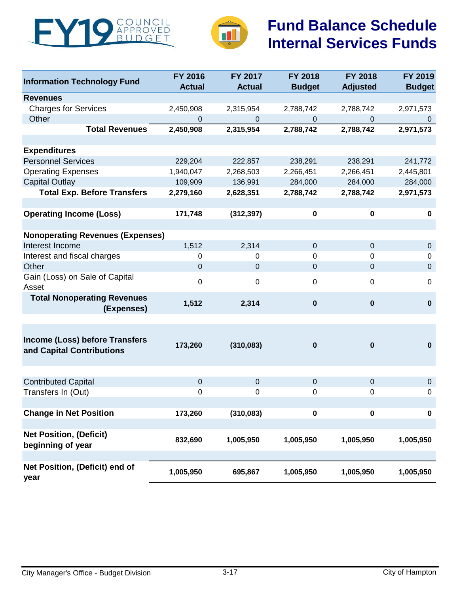



| <b>Information Technology Fund</b>                          | FY 2016<br><b>Actual</b> | FY 2017<br><b>Actual</b> | FY 2018<br><b>Budget</b> | <b>FY 2018</b><br><b>Adjusted</b> | FY 2019<br><b>Budget</b> |
|-------------------------------------------------------------|--------------------------|--------------------------|--------------------------|-----------------------------------|--------------------------|
| <b>Revenues</b>                                             |                          |                          |                          |                                   |                          |
| <b>Charges for Services</b>                                 | 2,450,908                | 2,315,954                | 2,788,742                | 2,788,742                         | 2,971,573                |
| Other                                                       | $\mathbf{0}$             | 0                        | 0                        | 0                                 | $\theta$                 |
| <b>Total Revenues</b>                                       | 2,450,908                | 2,315,954                | 2,788,742                | 2,788,742                         | 2,971,573                |
|                                                             |                          |                          |                          |                                   |                          |
| <b>Expenditures</b>                                         |                          |                          |                          |                                   |                          |
| <b>Personnel Services</b>                                   | 229,204                  | 222,857                  | 238,291                  | 238,291                           | 241,772                  |
| <b>Operating Expenses</b>                                   | 1,940,047                | 2,268,503                | 2,266,451                | 2,266,451                         | 2,445,801                |
| <b>Capital Outlay</b>                                       | 109,909                  | 136,991                  | 284,000                  | 284,000                           | 284,000                  |
| <b>Total Exp. Before Transfers</b>                          | 2,279,160                | 2,628,351                | 2,788,742                | 2,788,742                         | 2,971,573                |
|                                                             |                          |                          |                          |                                   |                          |
| <b>Operating Income (Loss)</b>                              | 171,748                  | (312, 397)               | $\pmb{0}$                | 0                                 | $\bf{0}$                 |
|                                                             |                          |                          |                          |                                   |                          |
| <b>Nonoperating Revenues (Expenses)</b>                     |                          |                          |                          |                                   |                          |
| Interest Income                                             | 1,512                    | 2,314                    | $\mathbf 0$              | 0                                 | $\mathbf 0$              |
| Interest and fiscal charges                                 | 0                        | 0                        | $\mathbf{0}$             | $\Omega$                          | 0                        |
| Other                                                       | $\boldsymbol{0}$         | $\pmb{0}$                | $\mathbf 0$              | $\overline{0}$                    | $\pmb{0}$                |
| Gain (Loss) on Sale of Capital<br>Asset                     | 0                        | 0                        | 0                        | 0                                 | 0                        |
| <b>Total Nonoperating Revenues</b><br>(Expenses)            | 1,512                    | 2,314                    | $\mathbf 0$              | $\mathbf 0$                       | $\pmb{0}$                |
|                                                             |                          |                          |                          |                                   |                          |
| Income (Loss) before Transfers<br>and Capital Contributions | 173,260                  | (310, 083)               | $\bf{0}$                 | $\bf{0}$                          | $\bf{0}$                 |
| <b>Contributed Capital</b>                                  | $\pmb{0}$                | $\pmb{0}$                | $\mathbf 0$              | $\pmb{0}$                         | $\mathbf 0$              |
| Transfers In (Out)                                          | 0                        | 0                        | 0                        | 0                                 | $\boldsymbol{0}$         |
|                                                             |                          |                          |                          |                                   |                          |
| <b>Change in Net Position</b>                               | 173,260                  | (310, 083)               | $\pmb{0}$                | 0                                 | $\bf{0}$                 |
|                                                             |                          |                          |                          |                                   |                          |
| <b>Net Position, (Deficit)</b><br>beginning of year         | 832,690                  | 1,005,950                | 1,005,950                | 1,005,950                         | 1,005,950                |
|                                                             |                          |                          |                          |                                   |                          |
| Net Position, (Deficit) end of<br>year                      | 1,005,950                | 695,867                  | 1,005,950                | 1,005,950                         | 1,005,950                |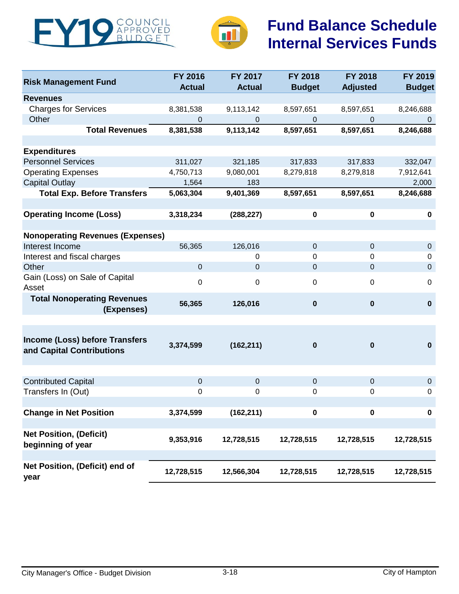



| <b>Risk Management Fund</b>                                        | FY 2016<br><b>Actual</b> | <b>FY 2017</b><br><b>Actual</b> | FY 2018<br><b>Budget</b> | <b>FY 2018</b><br><b>Adjusted</b> | FY 2019<br><b>Budget</b> |
|--------------------------------------------------------------------|--------------------------|---------------------------------|--------------------------|-----------------------------------|--------------------------|
| <b>Revenues</b>                                                    |                          |                                 |                          |                                   |                          |
| <b>Charges for Services</b>                                        | 8,381,538                | 9,113,142                       | 8,597,651                | 8,597,651                         | 8,246,688                |
| Other                                                              | 0                        | $\overline{0}$                  | 0                        | 0                                 | 0                        |
| <b>Total Revenues</b>                                              | 8,381,538                | 9,113,142                       | 8,597,651                | 8,597,651                         | 8,246,688                |
|                                                                    |                          |                                 |                          |                                   |                          |
| <b>Expenditures</b>                                                |                          |                                 |                          |                                   |                          |
| <b>Personnel Services</b>                                          | 311,027                  | 321,185                         | 317,833                  | 317,833                           | 332,047                  |
| <b>Operating Expenses</b>                                          | 4,750,713                | 9,080,001                       | 8,279,818                | 8,279,818                         | 7,912,641                |
| <b>Capital Outlay</b>                                              | 1,564                    | 183                             |                          |                                   | 2,000                    |
| <b>Total Exp. Before Transfers</b>                                 | 5,063,304                | 9,401,369                       | 8,597,651                | 8,597,651                         | 8,246,688                |
|                                                                    |                          |                                 |                          |                                   |                          |
| <b>Operating Income (Loss)</b>                                     | 3,318,234                | (288, 227)                      | $\bf{0}$                 | 0                                 | 0                        |
|                                                                    |                          |                                 |                          |                                   |                          |
| <b>Nonoperating Revenues (Expenses)</b>                            |                          |                                 |                          |                                   |                          |
| Interest Income                                                    | 56,365                   | 126,016                         | $\mathbf 0$              | $\pmb{0}$                         | $\mathbf 0$              |
| Interest and fiscal charges                                        |                          | 0                               | $\Omega$                 | 0                                 | 0                        |
| Other                                                              | $\pmb{0}$                | $\pmb{0}$                       | $\mathbf 0$              | $\pmb{0}$                         | $\mathbf 0$              |
| Gain (Loss) on Sale of Capital                                     |                          |                                 |                          |                                   |                          |
| Asset                                                              | 0                        | 0                               | $\mathbf 0$              | 0                                 | $\mathsf 0$              |
| <b>Total Nonoperating Revenues</b><br>(Expenses)                   | 56,365                   | 126,016                         | $\mathbf 0$              | 0                                 | $\pmb{0}$                |
|                                                                    |                          |                                 |                          |                                   |                          |
| <b>Income (Loss) before Transfers</b><br>and Capital Contributions | 3,374,599                | (162, 211)                      | $\bf{0}$                 | 0                                 | $\pmb{0}$                |
|                                                                    |                          |                                 |                          |                                   |                          |
| <b>Contributed Capital</b>                                         | 0                        | $\mathbf 0$                     | $\boldsymbol{0}$         | $\pmb{0}$                         | $\boldsymbol{0}$         |
| Transfers In (Out)                                                 | 0                        | 0                               | 0                        | 0                                 | $\mathbf 0$              |
| <b>Change in Net Position</b>                                      | 3,374,599                | (162, 211)                      | $\pmb{0}$                | 0                                 | 0                        |
|                                                                    |                          |                                 |                          |                                   |                          |
| <b>Net Position, (Deficit)</b><br>beginning of year                | 9,353,916                | 12,728,515                      | 12,728,515               | 12,728,515                        | 12,728,515               |
|                                                                    |                          |                                 |                          |                                   |                          |
| Net Position, (Deficit) end of<br>year                             | 12,728,515               | 12,566,304                      | 12,728,515               | 12,728,515                        | 12,728,515               |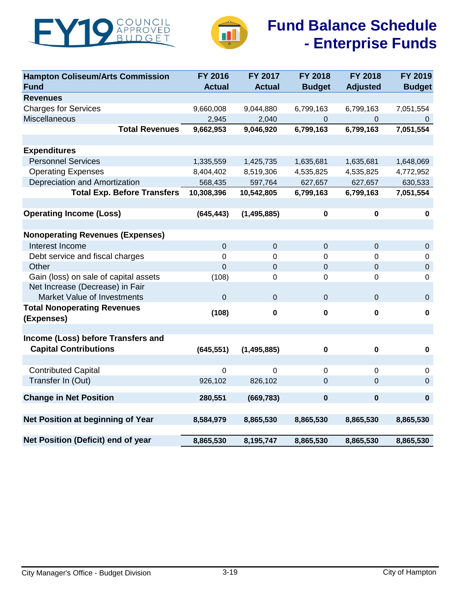<span id="page-18-0"></span>



| <b>Hampton Coliseum/Arts Commission</b><br><b>Fund</b> | FY 2016<br><b>Actual</b> | FY 2017<br><b>Actual</b> | FY 2018<br><b>Budget</b> | FY 2018<br><b>Adjusted</b> | FY 2019<br><b>Budget</b> |
|--------------------------------------------------------|--------------------------|--------------------------|--------------------------|----------------------------|--------------------------|
| <b>Revenues</b>                                        |                          |                          |                          |                            |                          |
| <b>Charges for Services</b>                            | 9,660,008                | 9,044,880                | 6,799,163                | 6,799,163                  | 7,051,554                |
| <b>Miscellaneous</b>                                   | 2,945                    | 2,040                    | 0                        | $\mathbf 0$                | $\mathbf{0}$             |
| <b>Total Revenues</b>                                  | 9,662,953                | 9,046,920                | 6,799,163                | 6,799,163                  | 7,051,554                |
|                                                        |                          |                          |                          |                            |                          |
| <b>Expenditures</b>                                    |                          |                          |                          |                            |                          |
| <b>Personnel Services</b>                              | 1,335,559                | 1,425,735                | 1,635,681                | 1,635,681                  | 1,648,069                |
| <b>Operating Expenses</b>                              | 8,404,402                | 8,519,306                | 4,535,825                | 4,535,825                  | 4,772,952                |
| Depreciation and Amortization                          | 568,435                  | 597,764                  | 627,657                  | 627,657                    | 630,533                  |
| <b>Total Exp. Before Transfers</b>                     | 10,308,396               | 10,542,805               | 6,799,163                | 6,799,163                  | 7,051,554                |
|                                                        |                          |                          |                          |                            |                          |
| <b>Operating Income (Loss)</b>                         | (645, 443)               | (1, 495, 885)            | $\pmb{0}$                | $\pmb{0}$                  | $\pmb{0}$                |
|                                                        |                          |                          |                          |                            |                          |
| <b>Nonoperating Revenues (Expenses)</b>                |                          |                          |                          |                            |                          |
| Interest Income                                        | $\mathbf 0$              | $\mathbf 0$              | $\mathbf 0$              | $\pmb{0}$                  | $\pmb{0}$                |
| Debt service and fiscal charges                        | 0                        | $\mathbf 0$              | $\overline{0}$           | 0                          | 0                        |
| Other                                                  | $\overline{0}$           | 0                        | $\mathbf 0$              | 0                          | $\pmb{0}$                |
| Gain (loss) on sale of capital assets                  | (108)                    | $\pmb{0}$                | $\mathbf 0$              | 0                          | $\pmb{0}$                |
| Net Increase (Decrease) in Fair                        |                          |                          |                          |                            |                          |
| Market Value of Investments                            | $\Omega$                 | $\mathbf 0$              | $\Omega$                 | $\mathbf 0$                | $\mathbf 0$              |
| <b>Total Nonoperating Revenues</b>                     | (108)                    | 0                        | $\mathbf 0$              | 0                          | $\mathbf 0$              |
| (Expenses)                                             |                          |                          |                          |                            |                          |
|                                                        |                          |                          |                          |                            |                          |
| Income (Loss) before Transfers and                     |                          |                          |                          |                            |                          |
| <b>Capital Contributions</b>                           | (645, 551)               | (1, 495, 885)            | $\pmb{0}$                | $\pmb{0}$                  | $\pmb{0}$                |
|                                                        |                          |                          |                          |                            |                          |
| <b>Contributed Capital</b>                             | $\mathbf 0$              | $\mathbf 0$              | $\mathbf 0$              | $\pmb{0}$                  | $\pmb{0}$                |
| Transfer In (Out)                                      | 926,102                  | 826,102                  | $\mathbf 0$              | $\mathbf 0$                | $\mathbf 0$              |
| <b>Change in Net Position</b>                          | 280,551                  | (669, 783)               | $\pmb{0}$                | $\mathbf 0$                | $\mathbf 0$              |
|                                                        |                          |                          |                          |                            |                          |
| Net Position at beginning of Year                      | 8,584,979                | 8,865,530                | 8,865,530                | 8,865,530                  | 8,865,530                |
| Net Position (Deficit) end of year                     | 8,865,530                | 8,195,747                | 8,865,530                | 8,865,530                  | 8,865,530                |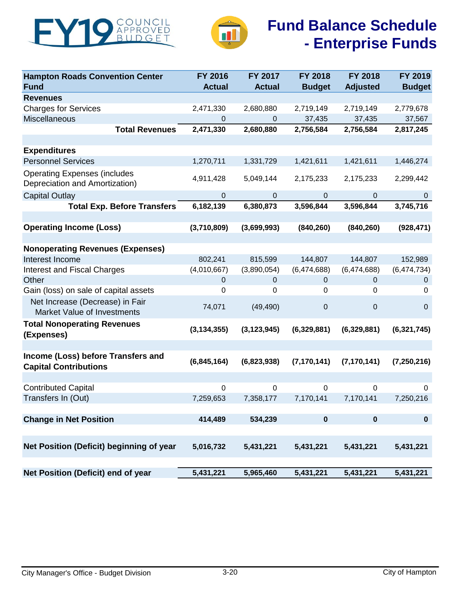



| <b>Hampton Roads Convention Center</b><br><b>Fund</b>                 | FY 2016<br><b>Actual</b> | FY 2017<br><b>Actual</b> | <b>FY 2018</b><br><b>Budget</b> | <b>FY 2018</b><br><b>Adjusted</b> | FY 2019<br><b>Budget</b> |
|-----------------------------------------------------------------------|--------------------------|--------------------------|---------------------------------|-----------------------------------|--------------------------|
| <b>Revenues</b>                                                       |                          |                          |                                 |                                   |                          |
| <b>Charges for Services</b>                                           | 2,471,330                | 2,680,880                | 2,719,149                       | 2,719,149                         | 2,779,678                |
| Miscellaneous                                                         | $\overline{0}$           | $\mathbf{0}$             | 37,435                          | 37,435                            | 37,567                   |
| <b>Total Revenues</b>                                                 | 2,471,330                | 2,680,880                | 2,756,584                       | 2,756,584                         | 2,817,245                |
|                                                                       |                          |                          |                                 |                                   |                          |
| <b>Expenditures</b>                                                   |                          |                          |                                 |                                   |                          |
| <b>Personnel Services</b>                                             | 1,270,711                | 1,331,729                | 1,421,611                       | 1,421,611                         | 1,446,274                |
| <b>Operating Expenses (includes</b><br>Depreciation and Amortization) | 4,911,428                | 5,049,144                | 2,175,233                       | 2,175,233                         | 2,299,442                |
| <b>Capital Outlay</b>                                                 | 0                        | $\pmb{0}$                | 0                               | 0                                 | $\mathbf 0$              |
| <b>Total Exp. Before Transfers</b>                                    | 6,182,139                | 6,380,873                | 3,596,844                       | 3,596,844                         | 3,745,716                |
|                                                                       |                          |                          |                                 |                                   |                          |
| <b>Operating Income (Loss)</b>                                        | (3,710,809)              | (3,699,993)              | (840, 260)                      | (840, 260)                        | (928, 471)               |
|                                                                       |                          |                          |                                 |                                   |                          |
| <b>Nonoperating Revenues (Expenses)</b>                               |                          |                          |                                 |                                   |                          |
| Interest Income                                                       | 802,241                  | 815,599                  | 144,807                         | 144,807                           | 152,989                  |
| <b>Interest and Fiscal Charges</b>                                    | (4,010,667)              | (3,890,054)              | (6,474,688)                     | (6,474,688)                       | (6,474,734)              |
| Other                                                                 | $\mathbf 0$              | $\mathbf 0$              | $\overline{0}$                  | 0                                 | $\mathbf 0$              |
| Gain (loss) on sale of capital assets                                 | 0                        | 0                        | 0                               | 0                                 | 0                        |
| Net Increase (Decrease) in Fair<br>Market Value of Investments        | 74,071                   | (49, 490)                | $\pmb{0}$                       | $\mathbf 0$                       | $\boldsymbol{0}$         |
| <b>Total Nonoperating Revenues</b><br>(Expenses)                      | (3, 134, 355)            | (3, 123, 945)            | (6,329,881)                     | (6,329,881)                       | (6, 321, 745)            |
|                                                                       |                          |                          |                                 |                                   |                          |
| Income (Loss) before Transfers and<br><b>Capital Contributions</b>    | (6,845,164)              | (6,823,938)              | (7, 170, 141)                   | (7, 170, 141)                     | (7, 250, 216)            |
|                                                                       |                          |                          |                                 |                                   |                          |
| <b>Contributed Capital</b>                                            | 0                        | $\mathbf 0$              | $\mathbf 0$                     | 0                                 | $\Omega$                 |
| Transfers In (Out)                                                    | 7,259,653                | 7,358,177                | 7,170,141                       | 7,170,141                         | 7,250,216                |
|                                                                       |                          |                          |                                 |                                   |                          |
| <b>Change in Net Position</b>                                         | 414,489                  | 534,239                  | $\mathbf 0$                     | $\bf{0}$                          | $\bf{0}$                 |
|                                                                       |                          |                          |                                 |                                   |                          |
| Net Position (Deficit) beginning of year                              | 5,016,732                | 5,431,221                | 5,431,221                       | 5,431,221                         | 5,431,221                |
|                                                                       |                          |                          |                                 |                                   |                          |
|                                                                       |                          |                          |                                 |                                   |                          |
| Net Position (Deficit) end of year                                    | 5,431,221                | 5,965,460                | 5,431,221                       | 5,431,221                         | 5,431,221                |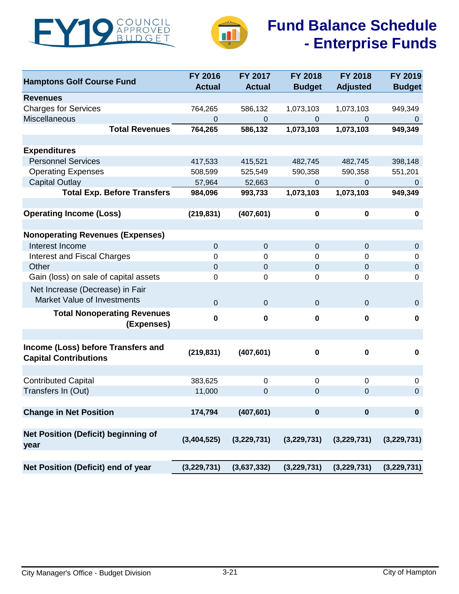



|                                            | FY 2016        | FY 2017       | <b>FY 2018</b> | FY 2018         | FY 2019        |
|--------------------------------------------|----------------|---------------|----------------|-----------------|----------------|
| <b>Hamptons Golf Course Fund</b>           | <b>Actual</b>  | <b>Actual</b> | <b>Budget</b>  | <b>Adjusted</b> | <b>Budget</b>  |
| <b>Revenues</b>                            |                |               |                |                 |                |
| <b>Charges for Services</b>                | 764,265        | 586,132       | 1,073,103      | 1,073,103       | 949,349        |
| Miscellaneous                              | 0              | $\mathbf 0$   | $\mathbf 0$    | 0               | 0              |
| <b>Total Revenues</b>                      | 764,265        | 586,132       | 1,073,103      | 1,073,103       | 949,349        |
|                                            |                |               |                |                 |                |
| <b>Expenditures</b>                        |                |               |                |                 |                |
| <b>Personnel Services</b>                  | 417,533        | 415,521       | 482,745        | 482,745         | 398,148        |
| <b>Operating Expenses</b>                  | 508,599        | 525,549       | 590,358        | 590,358         | 551,201        |
| <b>Capital Outlay</b>                      | 57,964         | 52,663        | $\mathbf{0}$   | $\mathbf{0}$    | $\overline{0}$ |
| <b>Total Exp. Before Transfers</b>         | 984,096        | 993,733       | 1,073,103      | 1,073,103       | 949,349        |
|                                            |                |               |                |                 |                |
| <b>Operating Income (Loss)</b>             | (219, 831)     | (407, 601)    | $\mathbf 0$    | $\pmb{0}$       | $\mathbf 0$    |
|                                            |                |               |                |                 |                |
| <b>Nonoperating Revenues (Expenses)</b>    |                |               |                |                 |                |
| Interest Income                            | $\mathbf 0$    | $\mathbf 0$   | $\mathbf 0$    | $\pmb{0}$       | $\mathbf 0$    |
| Interest and Fiscal Charges                | 0              | $\mathbf 0$   | $\mathbf 0$    | 0               | 0              |
| Other                                      | $\pmb{0}$      | $\mathbf 0$   | $\mathbf 0$    | $\pmb{0}$       | $\pmb{0}$      |
| Gain (loss) on sale of capital assets      | 0              | 0             | 0              | $\pmb{0}$       | $\pmb{0}$      |
| Net Increase (Decrease) in Fair            |                |               |                |                 |                |
| Market Value of Investments                | $\overline{0}$ | $\mathbf{0}$  | $\overline{0}$ | $\mathbf 0$     | $\mathbf 0$    |
| <b>Total Nonoperating Revenues</b>         |                |               |                |                 |                |
| (Expenses)                                 | 0              | $\mathbf 0$   | $\mathbf 0$    | $\mathbf 0$     | $\mathbf 0$    |
|                                            |                |               |                |                 |                |
| Income (Loss) before Transfers and         |                |               |                |                 |                |
| <b>Capital Contributions</b>               | (219, 831)     | (407, 601)    | $\mathbf 0$    | $\mathbf 0$     | $\mathbf 0$    |
|                                            |                |               |                |                 |                |
| <b>Contributed Capital</b>                 | 383,625        | 0             | 0              | 0               | $\pmb{0}$      |
| Transfers In (Out)                         | 11,000         | $\pmb{0}$     | $\pmb{0}$      | $\pmb{0}$       | $\pmb{0}$      |
|                                            |                |               |                |                 |                |
| <b>Change in Net Position</b>              | 174,794        | (407, 601)    | $\pmb{0}$      | 0               | $\pmb{0}$      |
|                                            |                |               |                |                 |                |
| <b>Net Position (Deficit) beginning of</b> |                |               |                |                 |                |
| year                                       | (3,404,525)    | (3,229,731)   | (3,229,731)    | (3,229,731)     | (3, 229, 731)  |
|                                            |                |               |                |                 |                |
| Net Position (Deficit) end of year         | (3, 229, 731)  | (3,637,332)   | (3,229,731)    | (3,229,731)     | (3, 229, 731)  |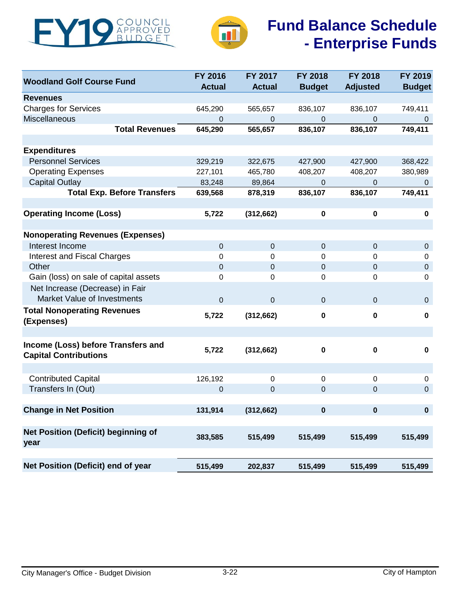



| <b>Woodland Golf Course Fund</b>                                   | FY 2016<br><b>Actual</b> | FY 2017<br><b>Actual</b> | <b>FY 2018</b><br><b>Budget</b> | FY 2018<br><b>Adjusted</b> | FY 2019<br><b>Budget</b> |
|--------------------------------------------------------------------|--------------------------|--------------------------|---------------------------------|----------------------------|--------------------------|
| <b>Revenues</b>                                                    |                          |                          |                                 |                            |                          |
| <b>Charges for Services</b>                                        | 645,290                  | 565,657                  | 836,107                         | 836,107                    | 749,411                  |
| <b>Miscellaneous</b>                                               | 0                        | 0                        | 0                               | 0                          | 0                        |
| <b>Total Revenues</b>                                              | 645,290                  | 565,657                  | 836,107                         | 836,107                    | 749,411                  |
|                                                                    |                          |                          |                                 |                            |                          |
| <b>Expenditures</b>                                                |                          |                          |                                 |                            |                          |
| <b>Personnel Services</b>                                          | 329,219                  | 322,675                  | 427,900                         | 427,900                    | 368,422                  |
| <b>Operating Expenses</b>                                          | 227,101                  | 465,780                  | 408,207                         | 408,207                    | 380,989                  |
| <b>Capital Outlay</b>                                              | 83,248                   | 89,864                   | 0                               | 0                          | 0                        |
| <b>Total Exp. Before Transfers</b>                                 | 639,568                  | 878,319                  | 836,107                         | 836,107                    | 749,411                  |
|                                                                    |                          |                          |                                 |                            |                          |
| <b>Operating Income (Loss)</b>                                     | 5,722                    | (312, 662)               | $\mathbf 0$                     | $\mathbf 0$                | $\pmb{0}$                |
| <b>Nonoperating Revenues (Expenses)</b>                            |                          |                          |                                 |                            |                          |
| Interest Income                                                    | $\pmb{0}$                | $\mathbf 0$              | $\overline{0}$                  | $\mathbf 0$                | $\pmb{0}$                |
| <b>Interest and Fiscal Charges</b>                                 | 0                        | 0                        | 0                               | 0                          | 0                        |
| Other                                                              | $\pmb{0}$                | $\mathbf 0$              | $\mathbf 0$                     | $\pmb{0}$                  | $\pmb{0}$                |
| Gain (loss) on sale of capital assets                              | 0                        | 0                        | 0                               | 0                          | 0                        |
| Net Increase (Decrease) in Fair<br>Market Value of Investments     |                          |                          |                                 |                            |                          |
|                                                                    | $\mathbf 0$              | $\mathbf 0$              | $\mathbf{0}$                    | $\mathbf 0$                | $\pmb{0}$                |
| <b>Total Nonoperating Revenues</b><br>(Expenses)                   | 5,722                    | (312, 662)               | $\mathbf 0$                     | $\mathbf 0$                | $\mathbf 0$              |
|                                                                    |                          |                          |                                 |                            |                          |
| Income (Loss) before Transfers and<br><b>Capital Contributions</b> | 5,722                    | (312, 662)               | $\mathbf 0$                     | $\mathbf 0$                | $\mathbf 0$              |
| <b>Contributed Capital</b>                                         | 126,192                  | $\pmb{0}$                | $\pmb{0}$                       | $\pmb{0}$                  | $\,0\,$                  |
| Transfers In (Out)                                                 | 0                        | 0                        | 0                               | 0                          | $\pmb{0}$                |
|                                                                    |                          |                          |                                 |                            |                          |
| <b>Change in Net Position</b>                                      | 131,914                  | (312, 662)               | 0                               | $\bf{0}$                   | $\pmb{0}$                |
| <b>Net Position (Deficit) beginning of</b><br>year                 | 383,585                  | 515,499                  | 515,499                         | 515,499                    | 515,499                  |
| Net Position (Deficit) end of year                                 | 515,499                  | 202,837                  | 515,499                         | 515,499                    | 515,499                  |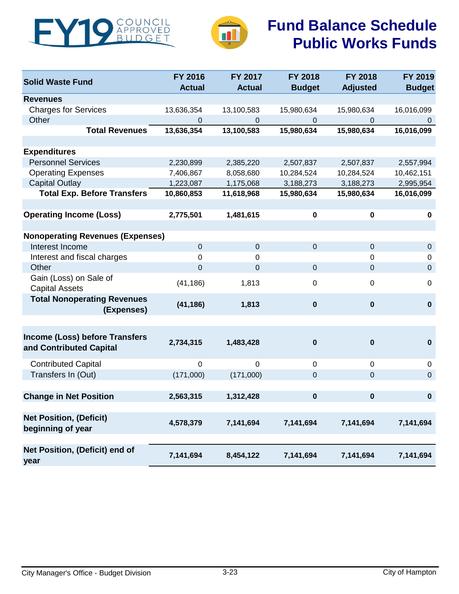<span id="page-22-0"></span>



# **Fund Balance Schedule Public Works Funds**

| <b>Solid Waste Fund</b>                                   | FY 2016<br><b>Actual</b> | FY 2017<br><b>Actual</b> | <b>FY 2018</b><br><b>Budget</b> | <b>FY 2018</b><br><b>Adjusted</b> | FY 2019<br><b>Budget</b> |
|-----------------------------------------------------------|--------------------------|--------------------------|---------------------------------|-----------------------------------|--------------------------|
| <b>Revenues</b>                                           |                          |                          |                                 |                                   |                          |
| <b>Charges for Services</b>                               | 13,636,354               | 13,100,583               | 15,980,634                      | 15,980,634                        | 16,016,099               |
| Other                                                     | 0                        | 0                        | 0                               | 0                                 | 0                        |
| <b>Total Revenues</b>                                     | 13,636,354               | 13,100,583               | 15,980,634                      | 15,980,634                        | 16,016,099               |
| <b>Expenditures</b>                                       |                          |                          |                                 |                                   |                          |
| <b>Personnel Services</b>                                 | 2,230,899                | 2,385,220                | 2,507,837                       | 2,507,837                         | 2,557,994                |
| <b>Operating Expenses</b>                                 | 7,406,867                | 8,058,680                | 10,284,524                      | 10,284,524                        | 10,462,151               |
| <b>Capital Outlay</b>                                     | 1,223,087                | 1,175,068                | 3,188,273                       | 3,188,273                         | 2,995,954                |
| <b>Total Exp. Before Transfers</b>                        | 10,860,853               | 11,618,968               | 15,980,634                      | 15,980,634                        | 16,016,099               |
|                                                           |                          |                          |                                 |                                   |                          |
| <b>Operating Income (Loss)</b>                            | 2,775,501                | 1,481,615                | $\pmb{0}$                       | 0                                 | 0                        |
| <b>Nonoperating Revenues (Expenses)</b>                   |                          |                          |                                 |                                   |                          |
| Interest Income                                           |                          |                          |                                 |                                   |                          |
|                                                           | $\pmb{0}$                | $\mathbf 0$              | $\pmb{0}$                       | 0                                 | $\mathbf 0$              |
| Interest and fiscal charges                               | 0                        | 0                        |                                 | 0                                 | 0                        |
| Other                                                     | $\boldsymbol{0}$         | $\mathbf 0$              | $\mathbf 0$                     | $\boldsymbol{0}$                  | $\pmb{0}$                |
| Gain (Loss) on Sale of<br><b>Capital Assets</b>           | (41, 186)                | 1,813                    | $\pmb{0}$                       | 0                                 | $\mathbf 0$              |
| <b>Total Nonoperating Revenues</b><br>(Expenses)          | (41, 186)                | 1,813                    | $\pmb{0}$                       | $\mathbf 0$                       | $\pmb{0}$                |
|                                                           |                          |                          |                                 |                                   |                          |
| Income (Loss) before Transfers<br>and Contributed Capital | 2,734,315                | 1,483,428                | $\mathbf 0$                     | $\mathbf 0$                       | $\pmb{0}$                |
| <b>Contributed Capital</b>                                | 0                        | 0                        | 0                               | 0                                 | 0                        |
| Transfers In (Out)                                        | (171,000)                | (171,000)                | $\mathbf 0$                     | $\overline{0}$                    | $\mathbf 0$              |
| <b>Change in Net Position</b>                             | 2,563,315                | 1,312,428                | $\pmb{0}$                       | $\mathbf 0$                       | $\bf{0}$                 |
| <b>Net Position, (Deficit)</b><br>beginning of year       | 4,578,379                | 7,141,694                | 7,141,694                       | 7,141,694                         | 7,141,694                |
| Net Position, (Deficit) end of<br>year                    | 7,141,694                | 8,454,122                | 7,141,694                       | 7,141,694                         | 7,141,694                |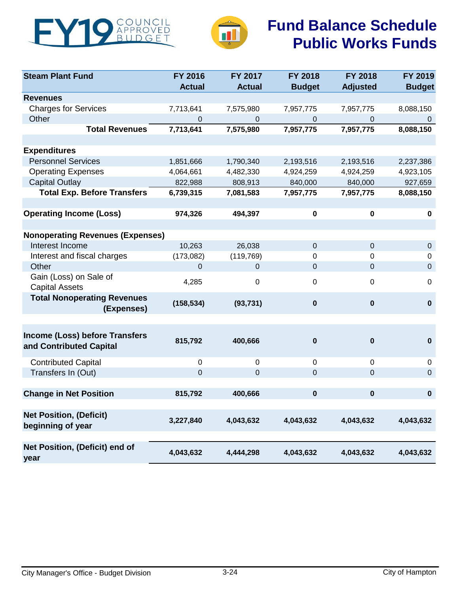



# **Fund Balance Schedule Public Works Funds**

| <b>Steam Plant Fund</b>                                          | FY 2016       | FY 2017       | FY 2018       | <b>FY 2018</b>  | FY 2019       |
|------------------------------------------------------------------|---------------|---------------|---------------|-----------------|---------------|
|                                                                  | <b>Actual</b> | <b>Actual</b> | <b>Budget</b> | <b>Adjusted</b> | <b>Budget</b> |
| <b>Revenues</b>                                                  |               |               |               |                 |               |
| <b>Charges for Services</b>                                      | 7,713,641     | 7,575,980     | 7,957,775     | 7,957,775       | 8,088,150     |
| Other                                                            | 0             | 0             | 0             | 0               | $\mathbf 0$   |
| <b>Total Revenues</b>                                            | 7,713,641     | 7,575,980     | 7,957,775     | 7,957,775       | 8,088,150     |
|                                                                  |               |               |               |                 |               |
| <b>Expenditures</b>                                              |               |               |               |                 |               |
| <b>Personnel Services</b>                                        | 1,851,666     | 1,790,340     | 2,193,516     | 2,193,516       | 2,237,386     |
| <b>Operating Expenses</b>                                        | 4,064,661     | 4,482,330     | 4,924,259     | 4,924,259       | 4,923,105     |
| <b>Capital Outlay</b>                                            | 822,988       | 808,913       | 840,000       | 840,000         | 927,659       |
| <b>Total Exp. Before Transfers</b>                               | 6,739,315     | 7,081,583     | 7,957,775     | 7,957,775       | 8,088,150     |
|                                                                  |               |               |               |                 |               |
| <b>Operating Income (Loss)</b>                                   | 974,326       | 494,397       | $\pmb{0}$     | 0               | $\mathbf 0$   |
|                                                                  |               |               |               |                 |               |
| <b>Nonoperating Revenues (Expenses)</b>                          |               |               |               |                 |               |
| Interest Income                                                  | 10,263        | 26,038        | $\mathbf 0$   | $\pmb{0}$       | $\mathbf 0$   |
| Interest and fiscal charges                                      | (173,082)     | (119, 769)    | $\mathbf 0$   | $\mathbf 0$     | $\mathbf 0$   |
| Other                                                            | $\pmb{0}$     | $\mathbf 0$   | $\mathbf 0$   | $\overline{0}$  | $\pmb{0}$     |
| Gain (Loss) on Sale of<br><b>Capital Assets</b>                  | 4,285         | $\pmb{0}$     | $\mathbf 0$   | $\mathbf 0$     | $\mathbf 0$   |
| <b>Total Nonoperating Revenues</b><br>(Expenses)                 | (158, 534)    | (93, 731)     | $\bf{0}$      | $\mathbf 0$     | $\pmb{0}$     |
|                                                                  |               |               |               |                 |               |
| <b>Income (Loss) before Transfers</b><br>and Contributed Capital | 815,792       | 400,666       | $\bf{0}$      | $\pmb{0}$       | $\mathbf 0$   |
| <b>Contributed Capital</b>                                       | 0             | $\mathbf 0$   | $\mathbf 0$   | $\mathbf 0$     | $\mathbf 0$   |
| Transfers In (Out)                                               | $\pmb{0}$     | $\pmb{0}$     | $\mathbf 0$   | $\overline{0}$  | $\mathbf 0$   |
|                                                                  |               |               |               |                 |               |
| <b>Change in Net Position</b>                                    | 815,792       | 400,666       | $\mathbf 0$   | $\pmb{0}$       | $\pmb{0}$     |
| <b>Net Position, (Deficit)</b>                                   |               |               |               |                 |               |
| beginning of year                                                | 3,227,840     | 4,043,632     | 4,043,632     | 4,043,632       | 4,043,632     |
| Net Position, (Deficit) end of                                   | 4,043,632     | 4,444,298     | 4,043,632     | 4,043,632       | 4,043,632     |
| year                                                             |               |               |               |                 |               |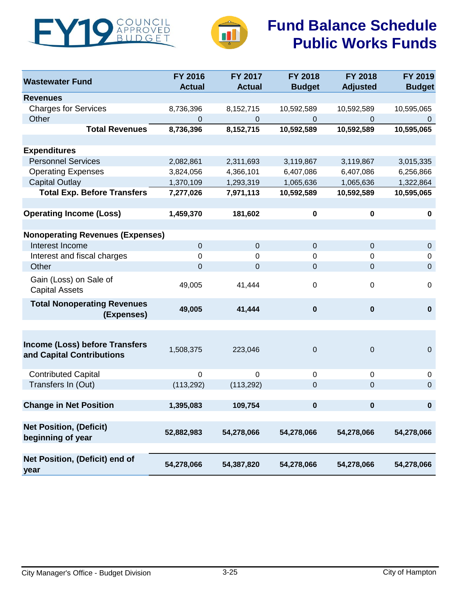



# **Fund Balance Schedule Public Works Funds**

| <b>Wastewater Fund</b>                  | FY 2016       | FY 2017          | <b>FY 2018</b>   | <b>FY 2018</b>  | FY 2019       |
|-----------------------------------------|---------------|------------------|------------------|-----------------|---------------|
|                                         | <b>Actual</b> | <b>Actual</b>    | <b>Budget</b>    | <b>Adjusted</b> | <b>Budget</b> |
| <b>Revenues</b>                         |               |                  |                  |                 |               |
| <b>Charges for Services</b>             | 8,736,396     | 8,152,715        | 10,592,589       | 10,592,589      | 10,595,065    |
| Other                                   | 0             | $\Omega$         | $\Omega$         | 0               | 0             |
| <b>Total Revenues</b>                   | 8,736,396     | 8,152,715        | 10,592,589       | 10,592,589      | 10,595,065    |
|                                         |               |                  |                  |                 |               |
| <b>Expenditures</b>                     |               |                  |                  |                 |               |
| <b>Personnel Services</b>               | 2,082,861     | 2,311,693        | 3,119,867        | 3,119,867       | 3,015,335     |
| <b>Operating Expenses</b>               | 3,824,056     | 4,366,101        | 6,407,086        | 6,407,086       | 6,256,866     |
| <b>Capital Outlay</b>                   | 1,370,109     | 1,293,319        | 1,065,636        | 1,065,636       | 1,322,864     |
| <b>Total Exp. Before Transfers</b>      | 7,277,026     | 7,971,113        | 10,592,589       | 10,592,589      | 10,595,065    |
|                                         |               |                  |                  |                 |               |
| <b>Operating Income (Loss)</b>          | 1,459,370     | 181,602          | $\pmb{0}$        | $\pmb{0}$       | $\pmb{0}$     |
|                                         |               |                  |                  |                 |               |
| <b>Nonoperating Revenues (Expenses)</b> |               |                  |                  |                 |               |
| Interest Income                         | $\pmb{0}$     | $\pmb{0}$        | $\mathbf 0$      | $\pmb{0}$       | $\mathbf 0$   |
| Interest and fiscal charges             | 0             | 0                | 0                | 0               | 0             |
| Other                                   | $\mathsf 0$   | $\boldsymbol{0}$ | $\pmb{0}$        | 0               | $\mathbf 0$   |
| Gain (Loss) on Sale of                  |               |                  |                  |                 |               |
| <b>Capital Assets</b>                   | 49,005        | 41,444           | $\pmb{0}$        | 0               | $\pmb{0}$     |
| <b>Total Nonoperating Revenues</b>      |               |                  |                  |                 |               |
| (Expenses)                              | 49,005        | 41,444           | $\mathbf 0$      | $\mathbf 0$     | $\pmb{0}$     |
|                                         |               |                  |                  |                 |               |
|                                         |               |                  |                  |                 |               |
| <b>Income (Loss) before Transfers</b>   |               |                  |                  |                 | $\mathbf 0$   |
| and Capital Contributions               | 1,508,375     | 223,046          | 0                | 0               |               |
|                                         |               |                  |                  |                 |               |
| <b>Contributed Capital</b>              | 0             | 0                | $\boldsymbol{0}$ | 0               | 0             |
| Transfers In (Out)                      | (113, 292)    | (113, 292)       | $\pmb{0}$        | $\pmb{0}$       | $\pmb{0}$     |
|                                         |               |                  |                  |                 |               |
| <b>Change in Net Position</b>           | 1,395,083     | 109,754          | $\bf{0}$         | 0               | $\bf{0}$      |
|                                         |               |                  |                  |                 |               |
| <b>Net Position, (Deficit)</b>          | 52,882,983    | 54,278,066       | 54,278,066       | 54,278,066      | 54,278,066    |
| beginning of year                       |               |                  |                  |                 |               |
|                                         |               |                  |                  |                 |               |
| Net Position, (Deficit) end of          | 54,278,066    | 54,387,820       | 54,278,066       | 54,278,066      | 54,278,066    |
| year                                    |               |                  |                  |                 |               |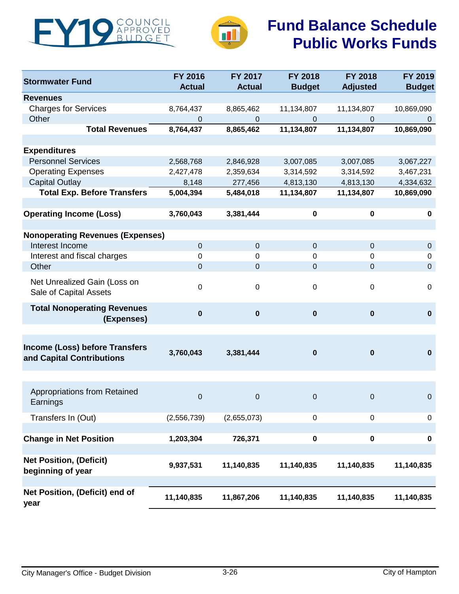



# **Fund Balance Schedule Public Works Funds**

| <b>Stormwater Fund</b>                                             | FY 2016<br><b>Actual</b> | <b>FY 2017</b><br><b>Actual</b> | FY 2018<br><b>Budget</b> | <b>FY 2018</b><br><b>Adjusted</b> | FY 2019<br><b>Budget</b> |
|--------------------------------------------------------------------|--------------------------|---------------------------------|--------------------------|-----------------------------------|--------------------------|
| <b>Revenues</b>                                                    |                          |                                 |                          |                                   |                          |
| <b>Charges for Services</b>                                        | 8,764,437                | 8,865,462                       | 11,134,807               | 11,134,807                        | 10,869,090               |
| Other                                                              | 0                        | $\Omega$                        | $\Omega$                 | 0                                 | 0                        |
| <b>Total Revenues</b>                                              | 8,764,437                | 8,865,462                       | 11,134,807               | 11,134,807                        | 10,869,090               |
|                                                                    |                          |                                 |                          |                                   |                          |
| <b>Expenditures</b>                                                |                          |                                 |                          |                                   |                          |
| <b>Personnel Services</b>                                          | 2,568,768                | 2,846,928                       | 3,007,085                | 3,007,085                         | 3,067,227                |
| <b>Operating Expenses</b>                                          | 2,427,478                | 2,359,634                       | 3,314,592                | 3,314,592                         | 3,467,231                |
| <b>Capital Outlay</b>                                              | 8,148                    | 277,456                         | 4,813,130                | 4,813,130                         | 4,334,632                |
| <b>Total Exp. Before Transfers</b>                                 | 5,004,394                | 5,484,018                       | 11,134,807               | 11,134,807                        | 10,869,090               |
| <b>Operating Income (Loss)</b>                                     | 3,760,043                | 3,381,444                       | $\pmb{0}$                | $\pmb{0}$                         | $\mathbf 0$              |
|                                                                    |                          |                                 |                          |                                   |                          |
| <b>Nonoperating Revenues (Expenses)</b><br>Interest Income         | $\pmb{0}$                | $\mathbf 0$                     | $\mathbf 0$              | $\mathbf 0$                       | $\mathbf 0$              |
| Interest and fiscal charges                                        | 0                        | 0                               | 0                        | 0                                 | 0                        |
| Other                                                              | $\pmb{0}$                | $\mathbf 0$                     | $\pmb{0}$                | 0                                 | $\mathbf 0$              |
|                                                                    |                          |                                 |                          |                                   |                          |
| Net Unrealized Gain (Loss on<br>Sale of Capital Assets             | 0                        | $\mathbf 0$                     | 0                        | 0                                 | $\mathbf 0$              |
| <b>Total Nonoperating Revenues</b><br>(Expenses)                   | $\pmb{0}$                | $\mathbf 0$                     | $\mathbf 0$              | $\mathbf 0$                       | $\pmb{0}$                |
| <b>Income (Loss) before Transfers</b><br>and Capital Contributions | 3,760,043                | 3,381,444                       | $\mathbf 0$              | $\mathbf 0$                       | $\mathbf 0$              |
| <b>Appropriations from Retained</b><br>Earnings                    | 0                        | $\boldsymbol{0}$                | 0                        | $\mathsf 0$                       | $\mathbf 0$              |
| Transfers In (Out)                                                 | (2,556,739)              | (2,655,073)                     | 0                        | 0                                 | $\boldsymbol{0}$         |
|                                                                    |                          |                                 |                          |                                   |                          |
| <b>Change in Net Position</b>                                      | 1,203,304                | 726,371                         | $\pmb{0}$                | $\pmb{0}$                         | $\pmb{0}$                |
| <b>Net Position, (Deficit)</b><br>beginning of year                | 9,937,531                | 11,140,835                      | 11,140,835               | 11,140,835                        | 11,140,835               |
| Net Position, (Deficit) end of<br>year                             | 11,140,835               | 11,867,206                      | 11,140,835               | 11,140,835                        | 11,140,835               |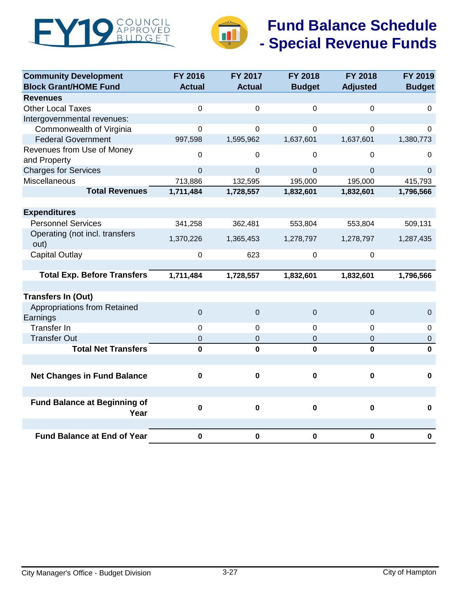<span id="page-26-0"></span>



## **Fund Balance Schedule - Special Revenue Funds**

| <b>Community Development</b>                | FY 2016       | <b>FY 2017</b> | <b>FY 2018</b> | <b>FY 2018</b>  | FY 2019       |
|---------------------------------------------|---------------|----------------|----------------|-----------------|---------------|
| <b>Block Grant/HOME Fund</b>                | <b>Actual</b> | <b>Actual</b>  | <b>Budget</b>  | <b>Adjusted</b> | <b>Budget</b> |
| <b>Revenues</b>                             |               |                |                |                 |               |
| <b>Other Local Taxes</b>                    | 0             | $\mathbf 0$    | $\mathbf 0$    | 0               | $\mathbf 0$   |
| Intergovernmental revenues:                 |               |                |                |                 |               |
| Commonwealth of Virginia                    | $\mathbf 0$   | $\mathbf 0$    | $\mathbf{0}$   | 0               | $\Omega$      |
| <b>Federal Government</b>                   | 997,598       | 1,595,962      | 1,637,601      | 1,637,601       | 1,380,773     |
| Revenues from Use of Money<br>and Property  | 0             | 0              | $\Omega$       | 0               | 0             |
| <b>Charges for Services</b>                 | $\mathsf 0$   | $\overline{0}$ | $\overline{0}$ | $\mathbf 0$     | $\mathbf 0$   |
| Miscellaneous                               | 713,886       | 132,595        | 195,000        | 195,000         | 415,793       |
| <b>Total Revenues</b>                       | 1,711,484     | 1,728,557      | 1,832,601      | 1,832,601       | 1,796,566     |
|                                             |               |                |                |                 |               |
| <b>Expenditures</b>                         |               |                |                |                 |               |
| <b>Personnel Services</b>                   | 341,258       | 362,481        | 553,804        | 553,804         | 509,131       |
| Operating (not incl. transfers<br>out)      | 1,370,226     | 1,365,453      | 1,278,797      | 1,278,797       | 1,287,435     |
| <b>Capital Outlay</b>                       | $\mathbf 0$   | 623            | $\mathbf 0$    | $\mathbf 0$     |               |
|                                             |               |                |                |                 |               |
| <b>Total Exp. Before Transfers</b>          | 1,711,484     | 1,728,557      | 1,832,601      | 1,832,601       | 1,796,566     |
|                                             |               |                |                |                 |               |
| <b>Transfers In (Out)</b>                   |               |                |                |                 |               |
| <b>Appropriations from Retained</b>         | $\mathbf 0$   | $\mathbf 0$    | $\mathbf 0$    | $\mathbf 0$     | $\mathbf 0$   |
| Earnings                                    |               |                |                |                 |               |
| <b>Transfer In</b>                          | 0             | $\mathbf 0$    | $\mathbf 0$    | 0               | $\mathbf 0$   |
| <b>Transfer Out</b>                         | 0             | $\mathbf 0$    | 0              | 0               | $\mathbf 0$   |
| <b>Total Net Transfers</b>                  | $\mathbf 0$   | $\mathbf 0$    | $\mathbf 0$    | $\mathbf 0$     | $\mathbf 0$   |
|                                             |               |                |                |                 |               |
| <b>Net Changes in Fund Balance</b>          | $\mathbf 0$   | $\mathbf 0$    | $\mathbf 0$    | 0               | $\mathbf 0$   |
|                                             |               |                |                |                 |               |
|                                             |               |                |                |                 |               |
| <b>Fund Balance at Beginning of</b><br>Year | $\mathbf 0$   | $\mathbf 0$    | $\mathbf 0$    | $\mathbf 0$     | $\mathbf 0$   |
|                                             |               |                |                |                 |               |
| <b>Fund Balance at End of Year</b>          | 0             | $\pmb{0}$      | $\pmb{0}$      | $\pmb{0}$       | $\pmb{0}$     |